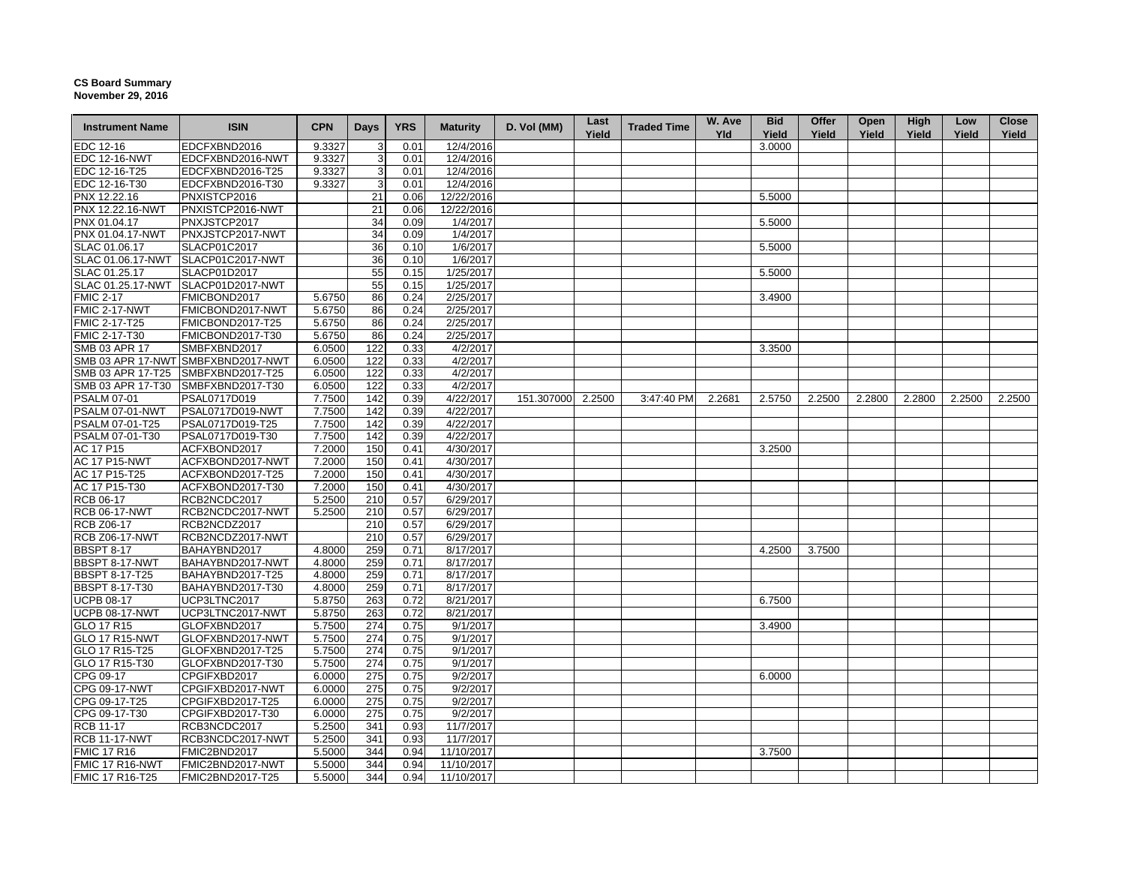## **CS Board Summary November 29, 2016**

| <b>Instrument Name</b> | <b>ISIN</b>                        | <b>CPN</b> | <b>Days</b> | <b>YRS</b> | <b>Maturity</b> | D. Vol (MM)       | Last<br>Yield | <b>Traded Time</b> | W. Ave<br><b>Yld</b> | <b>Bid</b><br>Yield | Offer<br>Yield | Open<br>Yield | High<br>Yield | Low<br>Yield | <b>Close</b><br>Yield |
|------------------------|------------------------------------|------------|-------------|------------|-----------------|-------------------|---------------|--------------------|----------------------|---------------------|----------------|---------------|---------------|--------------|-----------------------|
| EDC 12-16              | EDCFXBND2016                       | 9.3327     | 3           | 0.01       | 12/4/2016       |                   |               |                    |                      | 3.0000              |                |               |               |              |                       |
| <b>EDC 12-16-NWT</b>   | EDCFXBND2016-NWT                   | 9.3327     | 3           | 0.01       | 12/4/2016       |                   |               |                    |                      |                     |                |               |               |              |                       |
| EDC 12-16-T25          | EDCFXBND2016-T25                   | 9.3327     | 3           | 0.01       | 12/4/2016       |                   |               |                    |                      |                     |                |               |               |              |                       |
| EDC 12-16-T30          | EDCFXBND2016-T30                   | 9.3327     | 3           | 0.01       | 12/4/2016       |                   |               |                    |                      |                     |                |               |               |              |                       |
| PNX 12.22.16           | PNXISTCP2016                       |            | 21          | 0.06       | 12/22/2016      |                   |               |                    |                      | 5.5000              |                |               |               |              |                       |
| PNX 12.22.16-NWT       | PNXISTCP2016-NWT                   |            | 21          | 0.06       | 12/22/2016      |                   |               |                    |                      |                     |                |               |               |              |                       |
| PNX 01.04.17           | PNXJSTCP2017                       |            | 34          | 0.09       | 1/4/2017        |                   |               |                    |                      | 5.5000              |                |               |               |              |                       |
| PNX 01.04.17-NWT       | PNXJSTCP2017-NWT                   |            | 34          | 0.09       | 1/4/2017        |                   |               |                    |                      |                     |                |               |               |              |                       |
| SLAC 01.06.17          | SLACP01C2017                       |            | 36          | 0.10       | 1/6/2017        |                   |               |                    |                      | 5.5000              |                |               |               |              |                       |
|                        | SLAC 01.06.17-NWT SLACP01C2017-NWT |            | 36          | 0.10       | 1/6/2017        |                   |               |                    |                      |                     |                |               |               |              |                       |
| SLAC 01.25.17          | SLACP01D2017                       |            | 55          | 0.15       | 1/25/2017       |                   |               |                    |                      | 5.5000              |                |               |               |              |                       |
| SLAC 01.25.17-NWT      | SLACP01D2017-NWT                   |            | 55          | 0.15       | 1/25/2017       |                   |               |                    |                      |                     |                |               |               |              |                       |
| <b>FMIC 2-17</b>       | FMICBOND2017                       | 5.6750     | 86          | 0.24       | 2/25/2017       |                   |               |                    |                      | 3.4900              |                |               |               |              |                       |
| <b>FMIC 2-17-NWT</b>   | FMICBOND2017-NWT                   | 5.6750     | 86          | 0.24       | 2/25/2017       |                   |               |                    |                      |                     |                |               |               |              |                       |
| <b>FMIC 2-17-T25</b>   | FMICBOND2017-T25                   | 5.6750     | 86          | 0.24       | 2/25/2017       |                   |               |                    |                      |                     |                |               |               |              |                       |
| FMIC 2-17-T30          | FMICBOND2017-T30                   | 5.6750     | 86          | 0.24       | 2/25/2017       |                   |               |                    |                      |                     |                |               |               |              |                       |
| SMB 03 APR 17          | SMBFXBND2017                       | 6.0500     | 122         | 0.33       | 4/2/2017        |                   |               |                    |                      | 3.3500              |                |               |               |              |                       |
|                        | SMB 03 APR 17-NWT SMBFXBND2017-NWT | 6.0500     | 122         | 0.33       | 4/2/2017        |                   |               |                    |                      |                     |                |               |               |              |                       |
|                        | SMB 03 APR 17-T25 SMBFXBND2017-T25 | 6.0500     | 122         | 0.33       | 4/2/2017        |                   |               |                    |                      |                     |                |               |               |              |                       |
| SMB 03 APR 17-T30      | SMBFXBND2017-T30                   | 6.0500     | 122         | 0.33       | 4/2/2017        |                   |               |                    |                      |                     |                |               |               |              |                       |
| <b>PSALM 07-01</b>     | PSAL0717D019                       | 7.7500     | 142         | 0.39       | 4/22/2017       | 151.307000 2.2500 |               | 3:47:40 PM         | 2.2681               | 2.5750              | 2.2500         | 2.2800        | 2.2800        | 2.2500       | 2.2500                |
| PSALM 07-01-NWT        | PSAL0717D019-NWT                   | 7.7500     | 142         | 0.39       | 4/22/2017       |                   |               |                    |                      |                     |                |               |               |              |                       |
| PSALM 07-01-T25        | PSAL0717D019-T25                   | 7.7500     | 142         | 0.39       | 4/22/2017       |                   |               |                    |                      |                     |                |               |               |              |                       |
| PSALM 07-01-T30        | PSAL0717D019-T30                   | 7.7500     | 142         | 0.39       | 4/22/2017       |                   |               |                    |                      |                     |                |               |               |              |                       |
| AC 17 P15              | ACFXBOND2017                       | 7.2000     | 150         | 0.41       | 4/30/2017       |                   |               |                    |                      | 3.2500              |                |               |               |              |                       |
| <b>AC 17 P15-NWT</b>   | ACFXBOND2017-NWT                   | 7.2000     | 150         | 0.41       | 4/30/2017       |                   |               |                    |                      |                     |                |               |               |              |                       |
| AC 17 P15-T25          | ACFXBOND2017-T25                   | 7.2000     | 150         | 0.41       | 4/30/2017       |                   |               |                    |                      |                     |                |               |               |              |                       |
| AC 17 P15-T30          | ACFXBOND2017-T30                   | 7.2000     | 150         | 0.41       | 4/30/2017       |                   |               |                    |                      |                     |                |               |               |              |                       |
| RCB 06-17              | RCB2NCDC2017                       | 5.2500     | 210         | 0.57       | 6/29/2017       |                   |               |                    |                      |                     |                |               |               |              |                       |
| <b>RCB 06-17-NWT</b>   | RCB2NCDC2017-NWT                   | 5.2500     | 210         | 0.57       | 6/29/2017       |                   |               |                    |                      |                     |                |               |               |              |                       |
| <b>RCB Z06-17</b>      | RCB2NCDZ2017                       |            | 210         | 0.57       | 6/29/2017       |                   |               |                    |                      |                     |                |               |               |              |                       |
| <b>RCB Z06-17-NWT</b>  | RCB2NCDZ2017-NWT                   |            | 210         | 0.57       | 6/29/2017       |                   |               |                    |                      |                     |                |               |               |              |                       |
| <b>BBSPT 8-17</b>      | BAHAYBND2017                       | 4.8000     | 259         | 0.71       | 8/17/2017       |                   |               |                    |                      | 4.2500              | 3.7500         |               |               |              |                       |
| BBSPT 8-17-NWT         | BAHAYBND2017-NWT                   | 4.8000     | 259         | 0.71       | 8/17/2017       |                   |               |                    |                      |                     |                |               |               |              |                       |
| <b>BBSPT 8-17-T25</b>  | BAHAYBND2017-T25                   | 4.8000     | 259         | 0.71       | 8/17/2017       |                   |               |                    |                      |                     |                |               |               |              |                       |
| BBSPT 8-17-T30         | BAHAYBND2017-T30                   | 4.8000     | 259         | 0.71       | 8/17/2017       |                   |               |                    |                      |                     |                |               |               |              |                       |
| <b>UCPB 08-17</b>      | UCP3LTNC2017                       | 5.8750     | 263         | 0.72       | 8/21/2017       |                   |               |                    |                      | 6.7500              |                |               |               |              |                       |
| <b>UCPB 08-17-NWT</b>  | UCP3LTNC2017-NWT                   | 5.8750     | 263         | 0.72       | 8/21/2017       |                   |               |                    |                      |                     |                |               |               |              |                       |
| GLO 17 R15             | GLOFXBND2017                       | 5.7500     | 274         | 0.75       | 9/1/2017        |                   |               |                    |                      | 3.4900              |                |               |               |              |                       |
| <b>GLO 17 R15-NWT</b>  | GLOFXBND2017-NWT                   | 5.7500     | 274         | 0.75       | 9/1/2017        |                   |               |                    |                      |                     |                |               |               |              |                       |
| GLO 17 R15-T25         | GLOFXBND2017-T25                   | 5.7500     | 274         | 0.75       | 9/1/2017        |                   |               |                    |                      |                     |                |               |               |              |                       |
| GLO 17 R15-T30         | GLOFXBND2017-T30                   | 5.7500     | 274         | 0.75       | 9/1/2017        |                   |               |                    |                      |                     |                |               |               |              |                       |
| CPG 09-17              | CPGIFXBD2017                       | 6.0000     | 275         | 0.75       | 9/2/2017        |                   |               |                    |                      | 6.0000              |                |               |               |              |                       |
| CPG 09-17-NWT          | CPGIFXBD2017-NWT                   | 6.0000     | 275         | 0.75       | 9/2/2017        |                   |               |                    |                      |                     |                |               |               |              |                       |
| CPG 09-17-T25          | CPGIFXBD2017-T25                   | 6.0000     | 275         | 0.75       | 9/2/2017        |                   |               |                    |                      |                     |                |               |               |              |                       |
| CPG 09-17-T30          | CPGIFXBD2017-T30                   | 6.0000     | 275         | 0.75       | 9/2/2017        |                   |               |                    |                      |                     |                |               |               |              |                       |
|                        | RCB3NCDC2017                       |            |             |            | 11/7/2017       |                   |               |                    |                      |                     |                |               |               |              |                       |
| <b>RCB 11-17</b>       |                                    | 5.2500     | 341         | 0.93       |                 |                   |               |                    |                      |                     |                |               |               |              |                       |
| <b>RCB 11-17-NWT</b>   | RCB3NCDC2017-NWT                   | 5.2500     | 341         | 0.93       | 11/7/2017       |                   |               |                    |                      |                     |                |               |               |              |                       |
| <b>FMIC 17 R16</b>     | FMIC2BND2017                       | 5.5000     | 344         | 0.94       | 11/10/2017      |                   |               |                    |                      | 3.7500              |                |               |               |              |                       |
| <b>FMIC 17 R16-NWT</b> | FMIC2BND2017-NWT                   | 5.5000     | 344         | 0.94       | 11/10/2017      |                   |               |                    |                      |                     |                |               |               |              |                       |
| FMIC 17 R16-T25        | FMIC2BND2017-T25                   | 5.5000     | 344         | 0.94       | 11/10/2017      |                   |               |                    |                      |                     |                |               |               |              |                       |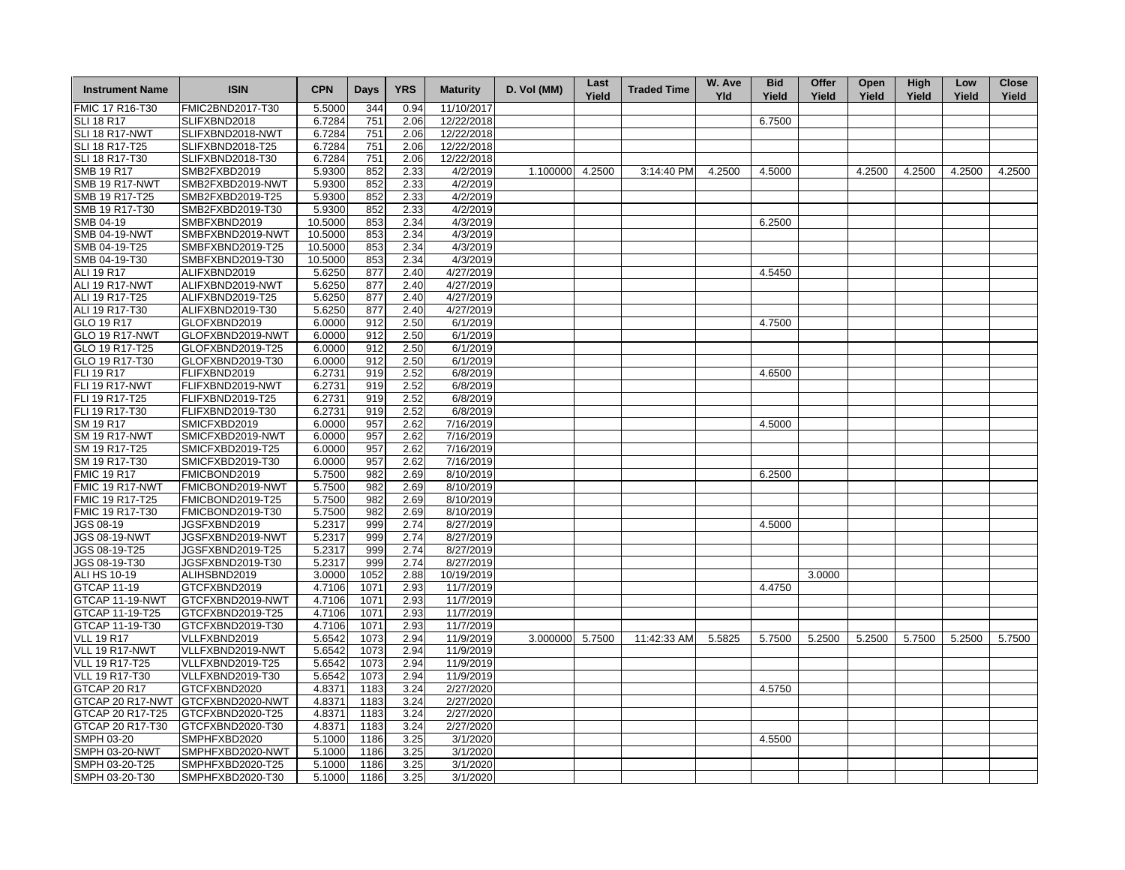| <b>Instrument Name</b> | <b>ISIN</b>      | <b>CPN</b> | <b>Days</b> | <b>YRS</b> | <b>Maturity</b> | D. Vol (MM)     | Last<br>Yield | <b>Traded Time</b> | W. Ave<br><b>Yld</b> | <b>Bid</b><br>Yield | Offer<br>Yield | Open<br>Yield | <b>High</b><br>Yield | Low<br>Yield | <b>Close</b><br>Yield |
|------------------------|------------------|------------|-------------|------------|-----------------|-----------------|---------------|--------------------|----------------------|---------------------|----------------|---------------|----------------------|--------------|-----------------------|
| FMIC 17 R16-T30        | FMIC2BND2017-T30 | 5.5000     | 344         | 0.94       | 11/10/2017      |                 |               |                    |                      |                     |                |               |                      |              |                       |
| <b>SLI 18 R17</b>      | SLIFXBND2018     | 6.7284     | 751         | 2.06       | 12/22/2018      |                 |               |                    |                      | 6.7500              |                |               |                      |              |                       |
| SLI 18 R17-NWT         | SLIFXBND2018-NWT | 6.7284     | 751         | 2.06       | 12/22/2018      |                 |               |                    |                      |                     |                |               |                      |              |                       |
| SLI 18 R17-T25         | SLIFXBND2018-T25 | 6.7284     | 751         | 2.06       | 12/22/2018      |                 |               |                    |                      |                     |                |               |                      |              |                       |
| SLI 18 R17-T30         | SLIFXBND2018-T30 | 6.7284     | 751         | 2.06       | 12/22/2018      |                 |               |                    |                      |                     |                |               |                      |              |                       |
| <b>SMB 19 R17</b>      | SMB2FXBD2019     | 5.9300     | 852         | 2.33       | 4/2/2019        | 1.100000 4.2500 |               | 3:14:40 PM         | 4.2500               | 4.5000              |                | 4.2500        | 4.2500               | 4.2500       | 4.2500                |
| <b>SMB 19 R17-NWT</b>  | SMB2FXBD2019-NWT | 5.9300     | 852         | 2.33       | 4/2/2019        |                 |               |                    |                      |                     |                |               |                      |              |                       |
| SMB 19 R17-T25         | SMB2FXBD2019-T25 | 5.9300     | 852         | 2.33       | 4/2/2019        |                 |               |                    |                      |                     |                |               |                      |              |                       |
| SMB 19 R17-T30         | SMB2FXBD2019-T30 | 5.9300     | 852         | 2.33       | 4/2/2019        |                 |               |                    |                      |                     |                |               |                      |              |                       |
| SMB 04-19              | SMBFXBND2019     | 10.5000    | 853         | 2.34       | 4/3/2019        |                 |               |                    |                      | 6.2500              |                |               |                      |              |                       |
| <b>SMB 04-19-NWT</b>   | SMBFXBND2019-NWT | 10.5000    | 853         | 2.34       | 4/3/2019        |                 |               |                    |                      |                     |                |               |                      |              |                       |
| SMB 04-19-T25          | SMBFXBND2019-T25 | 10.5000    | 853         | 2.34       | 4/3/2019        |                 |               |                    |                      |                     |                |               |                      |              |                       |
| SMB 04-19-T30          | SMBFXBND2019-T30 | 10.5000    | 853         | 2.34       | 4/3/2019        |                 |               |                    |                      |                     |                |               |                      |              |                       |
| ALI 19 R17             | ALIFXBND2019     | 5.6250     | 877         | 2.40       | 4/27/2019       |                 |               |                    |                      | 4.5450              |                |               |                      |              |                       |
| ALI 19 R17-NWT         | ALIFXBND2019-NWT | 5.6250     | 877         | 2.40       | 4/27/2019       |                 |               |                    |                      |                     |                |               |                      |              |                       |
| ALI 19 R17-T25         | ALIFXBND2019-T25 | 5.6250     | 877         | 2.40       | 4/27/2019       |                 |               |                    |                      |                     |                |               |                      |              |                       |
| ALI 19 R17-T30         | ALIFXBND2019-T30 | 5.6250     | 877         | 2.40       | 4/27/2019       |                 |               |                    |                      |                     |                |               |                      |              |                       |
| GLO 19 R17             | GLOFXBND2019     | 6.0000     | 912         | 2.50       | 6/1/2019        |                 |               |                    |                      | 4.7500              |                |               |                      |              |                       |
|                        |                  |            |             |            |                 |                 |               |                    |                      |                     |                |               |                      |              |                       |
| GLO 19 R17-NWT         | GLOFXBND2019-NWT | 6.0000     | 912         | 2.50       | 6/1/2019        |                 |               |                    |                      |                     |                |               |                      |              |                       |
| GLO 19 R17-T25         | GLOFXBND2019-T25 | 6.0000     | 912         | 2.50       | 6/1/2019        |                 |               |                    |                      |                     |                |               |                      |              |                       |
| GLO 19 R17-T30         | GLOFXBND2019-T30 | 6.0000     | 912         | 2.50       | 6/1/2019        |                 |               |                    |                      |                     |                |               |                      |              |                       |
| FLI 19 R17             | FLIFXBND2019     | 6.2731     | 919         | 2.52       | 6/8/2019        |                 |               |                    |                      | 4.6500              |                |               |                      |              |                       |
| <b>FLI 19 R17-NWT</b>  | FLIFXBND2019-NWT | 6.2731     | 919         | 2.52       | 6/8/2019        |                 |               |                    |                      |                     |                |               |                      |              |                       |
| FLI 19 R17-T25         | FLIFXBND2019-T25 | 6.2731     | 919         | 2.52       | 6/8/2019        |                 |               |                    |                      |                     |                |               |                      |              |                       |
| FLI 19 R17-T30         | FLIFXBND2019-T30 | 6.2731     | 919         | 2.52       | 6/8/2019        |                 |               |                    |                      |                     |                |               |                      |              |                       |
| SM 19 R17              | SMICFXBD2019     | 6.0000     | 957         | 2.62       | 7/16/2019       |                 |               |                    |                      | 4.5000              |                |               |                      |              |                       |
| <b>SM 19 R17-NWT</b>   | SMICFXBD2019-NWT | 6.0000     | 957         | 2.62       | 7/16/2019       |                 |               |                    |                      |                     |                |               |                      |              |                       |
| SM 19 R17-T25          | SMICFXBD2019-T25 | 6.0000     | 957         | 2.62       | 7/16/2019       |                 |               |                    |                      |                     |                |               |                      |              |                       |
| SM 19 R17-T30          | SMICFXBD2019-T30 | 6.0000     | 957         | 2.62       | 7/16/2019       |                 |               |                    |                      |                     |                |               |                      |              |                       |
| <b>FMIC 19 R17</b>     | FMICBOND2019     | 5.7500     | 982         | 2.69       | 8/10/2019       |                 |               |                    |                      | 6.2500              |                |               |                      |              |                       |
| FMIC 19 R17-NWT        | FMICBOND2019-NWT | 5.7500     | 982         | 2.69       | 8/10/2019       |                 |               |                    |                      |                     |                |               |                      |              |                       |
| FMIC 19 R17-T25        | FMICBOND2019-T25 | 5.7500     | 982         | 2.69       | 8/10/2019       |                 |               |                    |                      |                     |                |               |                      |              |                       |
| FMIC 19 R17-T30        | FMICBOND2019-T30 | 5.7500     | 982         | 2.69       | 8/10/2019       |                 |               |                    |                      |                     |                |               |                      |              |                       |
| JGS 08-19              | JGSFXBND2019     | 5.2317     | 999         | 2.74       | 8/27/2019       |                 |               |                    |                      | 4.5000              |                |               |                      |              |                       |
| <b>JGS 08-19-NWT</b>   | JGSFXBND2019-NWT | 5.2317     | 999         | 2.74       | 8/27/2019       |                 |               |                    |                      |                     |                |               |                      |              |                       |
| JGS 08-19-T25          | JGSFXBND2019-T25 | 5.2317     | 999         | 2.74       | 8/27/2019       |                 |               |                    |                      |                     |                |               |                      |              |                       |
| JGS 08-19-T30          | JGSFXBND2019-T30 | 5.2317     | 999         | 2.74       | 8/27/2019       |                 |               |                    |                      |                     |                |               |                      |              |                       |
| ALI HS 10-19           | ALIHSBND2019     | 3.0000     | 1052        | 2.88       | 10/19/2019      |                 |               |                    |                      |                     | 3.0000         |               |                      |              |                       |
| <b>GTCAP 11-19</b>     | GTCFXBND2019     | 4.7106     | 1071        | 2.93       | 11/7/2019       |                 |               |                    |                      | 4.4750              |                |               |                      |              |                       |
| GTCAP 11-19-NWT        | GTCFXBND2019-NWT | 4.7106     | 1071        | 2.93       | 11/7/2019       |                 |               |                    |                      |                     |                |               |                      |              |                       |
| GTCAP 11-19-T25        | GTCFXBND2019-T25 | 4.7106     | 1071        | 2.93       | 11/7/2019       |                 |               |                    |                      |                     |                |               |                      |              |                       |
| GTCAP 11-19-T30        | GTCFXBND2019-T30 | 4.7106     | 1071        | 2.93       | 11/7/2019       |                 |               |                    |                      |                     |                |               |                      |              |                       |
| <b>VLL 19 R17</b>      | VLLFXBND2019     | 5.6542     | 1073        | 2.94       | 11/9/2019       | 3.000000        | 5.7500        | 11:42:33 AM        | 5.5825               | 5.7500              | 5.2500         | 5.2500        | 5.7500               | 5.2500       | 5.7500                |
| VLL 19 R17-NWT         | VLLFXBND2019-NWT | 5.6542     | 1073        | 2.94       | 11/9/2019       |                 |               |                    |                      |                     |                |               |                      |              |                       |
| <b>VLL 19 R17-T25</b>  | VLLFXBND2019-T25 | 5.6542     | 1073        | 2.94       | 11/9/2019       |                 |               |                    |                      |                     |                |               |                      |              |                       |
| <b>VLL 19 R17-T30</b>  | VLLFXBND2019-T30 | 5.6542     | 1073        | 2.94       | 11/9/2019       |                 |               |                    |                      |                     |                |               |                      |              |                       |
| <b>GTCAP 20 R17</b>    | GTCFXBND2020     | 4.8371     | 1183        | 3.24       | 2/27/2020       |                 |               |                    |                      | 4.5750              |                |               |                      |              |                       |
| GTCAP 20 R17-NWT       | GTCFXBND2020-NWT | 4.8371     | 1183        | 3.24       | 2/27/2020       |                 |               |                    |                      |                     |                |               |                      |              |                       |
| GTCAP 20 R17-T25       |                  |            |             |            | 2/27/2020       |                 |               |                    |                      |                     |                |               |                      |              |                       |
|                        | GTCFXBND2020-T25 | 4.8371     | 1183        | 3.24       |                 |                 |               |                    |                      |                     |                |               |                      |              |                       |
| GTCAP 20 R17-T30       | GTCFXBND2020-T30 | 4.8371     | 1183        | 3.24       | 2/27/2020       |                 |               |                    |                      |                     |                |               |                      |              |                       |
| SMPH 03-20             | SMPHFXBD2020     | 5.1000     | 1186        | 3.25       | 3/1/2020        |                 |               |                    |                      | 4.5500              |                |               |                      |              |                       |
| <b>SMPH 03-20-NWT</b>  | SMPHFXBD2020-NWT | 5.1000     | 1186        | 3.25       | 3/1/2020        |                 |               |                    |                      |                     |                |               |                      |              |                       |
| SMPH 03-20-T25         | SMPHFXBD2020-T25 | 5.1000     | 1186        | 3.25       | 3/1/2020        |                 |               |                    |                      |                     |                |               |                      |              |                       |
| SMPH 03-20-T30         | SMPHFXBD2020-T30 | 5.1000     | 1186        | 3.25       | 3/1/2020        |                 |               |                    |                      |                     |                |               |                      |              |                       |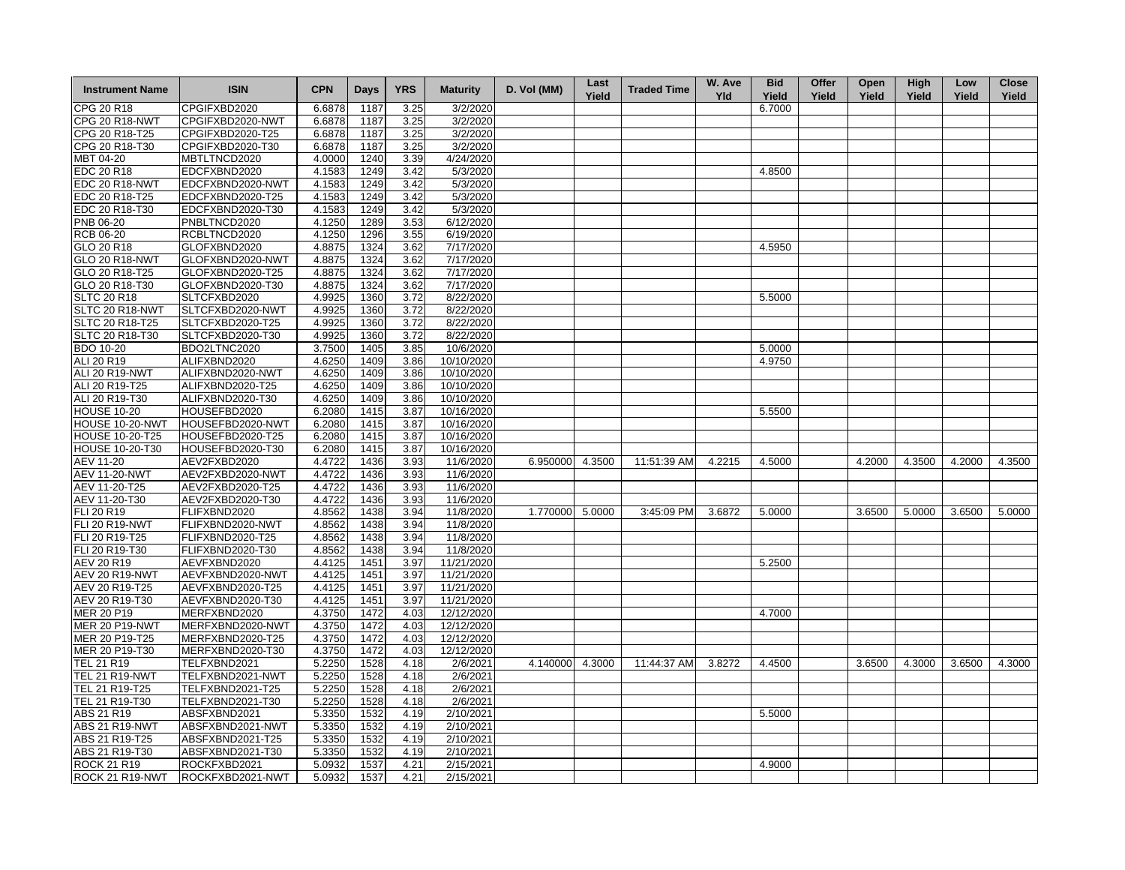| <b>Instrument Name</b> | <b>ISIN</b>      | <b>CPN</b> | <b>Days</b> | <b>YRS</b>   | <b>Maturity</b> | D. Vol (MM)     | Last<br>Yield | <b>Traded Time</b> | W. Ave<br><b>Yld</b> | <b>Bid</b><br>Yield | Offer<br>Yield | Open<br>Yield | High<br>Yield | Low<br>Yield | <b>Close</b><br>Yield |
|------------------------|------------------|------------|-------------|--------------|-----------------|-----------------|---------------|--------------------|----------------------|---------------------|----------------|---------------|---------------|--------------|-----------------------|
| CPG 20 R18             | CPGIFXBD2020     | 6.6878     | 1187        | 3.25         | 3/2/2020        |                 |               |                    |                      | 6.7000              |                |               |               |              |                       |
| <b>CPG 20 R18-NWT</b>  | CPGIFXBD2020-NWT | 6.6878     | 1187        | 3.25         | 3/2/2020        |                 |               |                    |                      |                     |                |               |               |              |                       |
| CPG 20 R18-T25         | CPGIFXBD2020-T25 | 6.6878     | 1187        | 3.25         | 3/2/2020        |                 |               |                    |                      |                     |                |               |               |              |                       |
| CPG 20 R18-T30         | CPGIFXBD2020-T30 | 6.6878     | 1187        | 3.25         | 3/2/2020        |                 |               |                    |                      |                     |                |               |               |              |                       |
| MBT 04-20              | MBTLTNCD2020     | 4.0000     | 1240        | 3.39         | 4/24/2020       |                 |               |                    |                      |                     |                |               |               |              |                       |
| <b>EDC 20 R18</b>      | EDCFXBND2020     | 4.1583     | 1249        | 3.42         | 5/3/2020        |                 |               |                    |                      | 4.8500              |                |               |               |              |                       |
| EDC 20 R18-NWT         | EDCFXBND2020-NWT | 4.1583     | 1249        | 3.42         | 5/3/2020        |                 |               |                    |                      |                     |                |               |               |              |                       |
| EDC 20 R18-T25         | EDCFXBND2020-T25 | 4.1583     | 1249        | 3.42         | 5/3/2020        |                 |               |                    |                      |                     |                |               |               |              |                       |
| EDC 20 R18-T30         | EDCFXBND2020-T30 | 4.1583     | 1249        | 3.42         | 5/3/2020        |                 |               |                    |                      |                     |                |               |               |              |                       |
| PNB 06-20              | PNBLTNCD2020     | 4.1250     | 1289        | 3.53         | 6/12/2020       |                 |               |                    |                      |                     |                |               |               |              |                       |
| <b>RCB 06-20</b>       | RCBLTNCD2020     | 4.1250     | 1296        | 3.55         | 6/19/2020       |                 |               |                    |                      |                     |                |               |               |              |                       |
| GLO 20 R18             | GLOFXBND2020     | 4.8875     | 1324        | 3.62         | 7/17/2020       |                 |               |                    |                      | 4.5950              |                |               |               |              |                       |
| <b>GLO 20 R18-NWT</b>  | GLOFXBND2020-NWT | 4.8875     | 1324        | 3.62         | 7/17/2020       |                 |               |                    |                      |                     |                |               |               |              |                       |
| GLO 20 R18-T25         | GLOFXBND2020-T25 | 4.8875     | 1324        | 3.62         | 7/17/2020       |                 |               |                    |                      |                     |                |               |               |              |                       |
| GLO 20 R18-T30         | GLOFXBND2020-T30 | 4.8875     | 1324        | 3.62         | 7/17/2020       |                 |               |                    |                      |                     |                |               |               |              |                       |
| <b>SLTC 20 R18</b>     | SLTCFXBD2020     | 4.9925     | 1360        | 3.72         | 8/22/2020       |                 |               |                    |                      | 5.5000              |                |               |               |              |                       |
| SLTC 20 R18-NWT        | SLTCFXBD2020-NWT | 4.9925     | 1360        | 3.72         | 8/22/2020       |                 |               |                    |                      |                     |                |               |               |              |                       |
| SLTC 20 R18-T25        | SLTCFXBD2020-T25 | 4.9925     | 1360        | 3.72         | 8/22/2020       |                 |               |                    |                      |                     |                |               |               |              |                       |
| SLTC 20 R18-T30        | SLTCFXBD2020-T30 | 4.9925     | 1360        | 3.72         | 8/22/2020       |                 |               |                    |                      |                     |                |               |               |              |                       |
| <b>BDO 10-20</b>       | BDO2LTNC2020     | 3.7500     | 1405        | 3.85         | 10/6/2020       |                 |               |                    |                      | 5.0000              |                |               |               |              |                       |
| ALI 20 R19             | ALIFXBND2020     | 4.6250     | 1409        | 3.86         | 10/10/2020      |                 |               |                    |                      | 4.9750              |                |               |               |              |                       |
| ALI 20 R19-NWT         | ALIFXBND2020-NWT | 4.6250     | 1409        | 3.86         | 10/10/2020      |                 |               |                    |                      |                     |                |               |               |              |                       |
| ALI 20 R19-T25         | ALIFXBND2020-T25 | 4.6250     | 1409        | 3.86         | 10/10/2020      |                 |               |                    |                      |                     |                |               |               |              |                       |
| ALI 20 R19-T30         | ALIFXBND2020-T30 | 4.6250     | 1409        | 3.86         | 10/10/2020      |                 |               |                    |                      |                     |                |               |               |              |                       |
| <b>HOUSE 10-20</b>     | HOUSEFBD2020     | 6.2080     | 1415        | 3.87         | 10/16/2020      |                 |               |                    |                      | 5.5500              |                |               |               |              |                       |
| HOUSE 10-20-NWT        | HOUSEFBD2020-NWT | 6.2080     | 1415        | 3.87         | 10/16/2020      |                 |               |                    |                      |                     |                |               |               |              |                       |
| <b>HOUSE 10-20-T25</b> | HOUSEFBD2020-T25 | 6.2080     | 1415        | 3.87         | 10/16/2020      |                 |               |                    |                      |                     |                |               |               |              |                       |
| <b>HOUSE 10-20-T30</b> | HOUSEFBD2020-T30 | 6.2080     | 1415        | 3.87         | 10/16/2020      |                 |               |                    |                      |                     |                |               |               |              |                       |
| AEV 11-20              | AEV2FXBD2020     | 4.4722     | 1436        | 3.93         | 11/6/2020       | 6.950000        | 4.3500        | 11:51:39 AM        | 4.2215               | 4.5000              |                | 4.2000        | 4.3500        | 4.2000       | 4.3500                |
| <b>AEV 11-20-NWT</b>   | AEV2FXBD2020-NWT | 4.4722     | 1436        | 3.93         | 11/6/2020       |                 |               |                    |                      |                     |                |               |               |              |                       |
| AEV 11-20-T25          | AEV2FXBD2020-T25 | 4.4722     | 1436        | 3.93         | 11/6/2020       |                 |               |                    |                      |                     |                |               |               |              |                       |
| AEV 11-20-T30          | AEV2FXBD2020-T30 | 4.4722     | 1436        | 3.93         | 11/6/2020       |                 |               |                    |                      |                     |                |               |               |              |                       |
| FLI 20 R19             | FLIFXBND2020     | 4.8562     | 1438        | 3.94         | 11/8/2020       | 1.770000 5.0000 |               | 3:45:09 PM         | 3.6872               | 5.0000              |                | 3.6500        | 5.0000        | 3.6500       | 5.0000                |
| FLI 20 R19-NWT         | FLIFXBND2020-NWT | 4.8562     | 1438        | 3.94         | 11/8/2020       |                 |               |                    |                      |                     |                |               |               |              |                       |
| FLI 20 R19-T25         | FLIFXBND2020-T25 | 4.8562     | 1438        | 3.94         | 11/8/2020       |                 |               |                    |                      |                     |                |               |               |              |                       |
| FLI 20 R19-T30         | FLIFXBND2020-T30 | 4.8562     | 1438        | 3.94         | 11/8/2020       |                 |               |                    |                      |                     |                |               |               |              |                       |
| <b>AEV 20 R19</b>      | AEVFXBND2020     | 4.4125     | 1451        | 3.97         | 11/21/2020      |                 |               |                    |                      | 5.2500              |                |               |               |              |                       |
| AEV 20 R19-NWT         | AEVFXBND2020-NWT | 4.4125     | 1451        | 3.97         | 11/21/2020      |                 |               |                    |                      |                     |                |               |               |              |                       |
| AEV 20 R19-T25         | AEVFXBND2020-T25 | 4.4125     | 1451        | 3.97         | 11/21/2020      |                 |               |                    |                      |                     |                |               |               |              |                       |
| AEV 20 R19-T30         | AEVFXBND2020-T30 | 4.4125     | 1451        | 3.97         | 11/21/2020      |                 |               |                    |                      |                     |                |               |               |              |                       |
| <b>MER 20 P19</b>      | MERFXBND2020     | 4.3750     | 1472        | 4.03         | 12/12/2020      |                 |               |                    |                      | 4.7000              |                |               |               |              |                       |
| <b>MER 20 P19-NWT</b>  | MERFXBND2020-NWT | 4.3750     | 1472        | 4.03         | 12/12/2020      |                 |               |                    |                      |                     |                |               |               |              |                       |
| MER 20 P19-T25         | MERFXBND2020-T25 | 4.3750     | 1472        | 4.03         | 12/12/2020      |                 |               |                    |                      |                     |                |               |               |              |                       |
| MER 20 P19-T30         | MERFXBND2020-T30 | 4.3750     | 1472        | 4.03         | 12/12/2020      |                 |               |                    |                      |                     |                |               |               |              |                       |
| TEL 21 R19             | TELFXBND2021     | 5.2250     | 1528        | 4.18         | 2/6/2021        | 4.140000        | 4.3000        | 11:44:37 AM        | 3.8272               | 4.4500              |                | 3.6500        | 4.3000        | 3.6500       | 4.3000                |
| <b>TEL 21 R19-NWT</b>  | TELFXBND2021-NWT | 5.2250     | 1528        | 4.18         | 2/6/2021        |                 |               |                    |                      |                     |                |               |               |              |                       |
| TEL 21 R19-T25         | TELFXBND2021-T25 | 5.2250     | 1528        | 4.18         | 2/6/2021        |                 |               |                    |                      |                     |                |               |               |              |                       |
| TEL 21 R19-T30         | TELFXBND2021-T30 | 5.2250     | 1528        | 4.18         | 2/6/2021        |                 |               |                    |                      |                     |                |               |               |              |                       |
| ABS 21 R19             | ABSFXBND2021     |            | 1532        |              | 2/10/2021       |                 |               |                    |                      | 5.5000              |                |               |               |              |                       |
| <b>ABS 21 R19-NWT</b>  |                  | 5.3350     | 1532        | 4.19<br>4.19 | 2/10/2021       |                 |               |                    |                      |                     |                |               |               |              |                       |
|                        | ABSFXBND2021-NWT | 5.3350     |             |              |                 |                 |               |                    |                      |                     |                |               |               |              |                       |
| ABS 21 R19-T25         | ABSFXBND2021-T25 | 5.3350     | 1532        | 4.19         | 2/10/2021       |                 |               |                    |                      |                     |                |               |               |              |                       |
| ABS 21 R19-T30         | ABSFXBND2021-T30 | 5.3350     | 1532        | 4.19         | 2/10/2021       |                 |               |                    |                      |                     |                |               |               |              |                       |
| <b>ROCK 21 R19</b>     | ROCKFXBD2021     | 5.0932     | 1537        | 4.21         | 2/15/2021       |                 |               |                    |                      | 4.9000              |                |               |               |              |                       |
| ROCK 21 R19-NWT        | ROCKFXBD2021-NWT | 5.0932     | 1537        | 4.21         | 2/15/2021       |                 |               |                    |                      |                     |                |               |               |              |                       |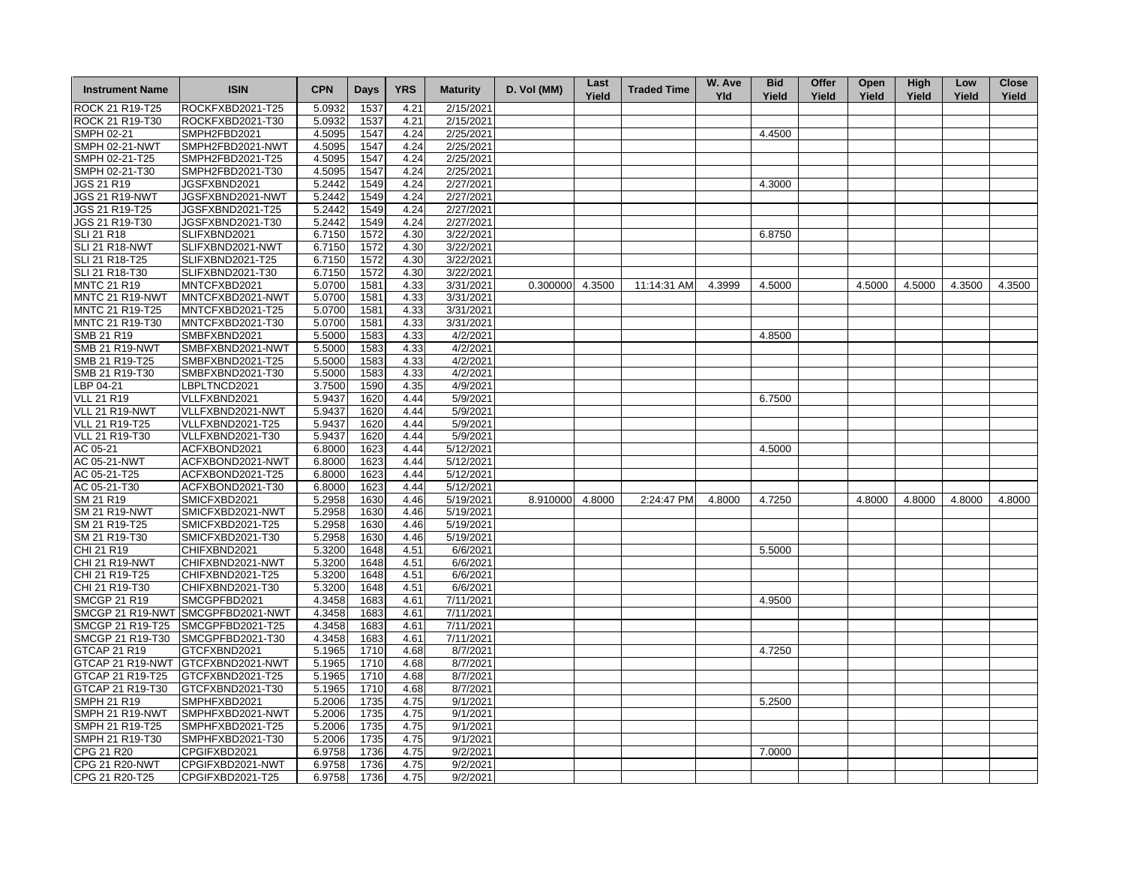| <b>Instrument Name</b> | <b>ISIN</b>                       | <b>CPN</b> | Days | <b>YRS</b> | <b>Maturity</b> | D. Vol (MM)     | Last<br>Yield | <b>Traded Time</b> | W. Ave<br><b>Yld</b> | <b>Bid</b><br>Yield | Offer<br>Yield | Open<br>Yield | High<br>Yield | Low<br>Yield | <b>Close</b><br>Yield |
|------------------------|-----------------------------------|------------|------|------------|-----------------|-----------------|---------------|--------------------|----------------------|---------------------|----------------|---------------|---------------|--------------|-----------------------|
| ROCK 21 R19-T25        | ROCKFXBD2021-T25                  | 5.0932     | 1537 | 4.21       | 2/15/2021       |                 |               |                    |                      |                     |                |               |               |              |                       |
| ROCK 21 R19-T30        | ROCKFXBD2021-T30                  | 5.0932     | 1537 | 4.21       | 2/15/2021       |                 |               |                    |                      |                     |                |               |               |              |                       |
| SMPH 02-21             | SMPH2FBD2021                      | 4.5095     | 1547 | 4.24       | 2/25/2021       |                 |               |                    |                      | 4.4500              |                |               |               |              |                       |
| <b>SMPH 02-21-NWT</b>  | SMPH2FBD2021-NWT                  | 4.5095     | 1547 | 4.24       | 2/25/2021       |                 |               |                    |                      |                     |                |               |               |              |                       |
| SMPH 02-21-T25         | SMPH2FBD2021-T25                  | 4.5095     | 1547 | 4.24       | 2/25/2021       |                 |               |                    |                      |                     |                |               |               |              |                       |
| SMPH 02-21-T30         | SMPH2FBD2021-T30                  | 4.5095     | 1547 | 4.24       | 2/25/2021       |                 |               |                    |                      |                     |                |               |               |              |                       |
| JGS 21 R19             | JGSFXBND2021                      | 5.2442     | 1549 | 4.24       | 2/27/2021       |                 |               |                    |                      | 4.3000              |                |               |               |              |                       |
| <b>JGS 21 R19-NWT</b>  | JGSFXBND2021-NWT                  | 5.2442     | 1549 | 4.24       | 2/27/2021       |                 |               |                    |                      |                     |                |               |               |              |                       |
| JGS 21 R19-T25         | JGSFXBND2021-T25                  | 5.2442     | 1549 | 4.24       | 2/27/2021       |                 |               |                    |                      |                     |                |               |               |              |                       |
| JGS 21 R19-T30         | JGSFXBND2021-T30                  | 5.2442     | 1549 | 4.24       | 2/27/2021       |                 |               |                    |                      |                     |                |               |               |              |                       |
| <b>SLI 21 R18</b>      | SLIFXBND2021                      | 6.7150     | 1572 | 4.30       | 3/22/2021       |                 |               |                    |                      | 6.8750              |                |               |               |              |                       |
| <b>SLI 21 R18-NWT</b>  | SLIFXBND2021-NWT                  | 6.7150     | 1572 | 4.30       | 3/22/2021       |                 |               |                    |                      |                     |                |               |               |              |                       |
| SLI 21 R18-T25         | SLIFXBND2021-T25                  | 6.7150     | 1572 | 4.30       | 3/22/2021       |                 |               |                    |                      |                     |                |               |               |              |                       |
| SLI 21 R18-T30         | SLIFXBND2021-T30                  | 6.7150     | 1572 | 4.30       | 3/22/2021       |                 |               |                    |                      |                     |                |               |               |              |                       |
| <b>MNTC 21 R19</b>     | MNTCFXBD2021                      | 5.0700     | 1581 | 4.33       | 3/31/2021       | 0.300000 4.3500 |               | 11:14:31 AM        | 4.3999               | 4.5000              |                | 4.5000        | 4.5000        | 4.3500       | 4.3500                |
| MNTC 21 R19-NWT        | MNTCFXBD2021-NWT                  | 5.0700     | 1581 | 4.33       | 3/31/2021       |                 |               |                    |                      |                     |                |               |               |              |                       |
| MNTC 21 R19-T25        | MNTCFXBD2021-T25                  | 5.0700     | 1581 | 4.33       | 3/31/2021       |                 |               |                    |                      |                     |                |               |               |              |                       |
| MNTC 21 R19-T30        | MNTCFXBD2021-T30                  | 5.0700     | 1581 | 4.33       | 3/31/2021       |                 |               |                    |                      |                     |                |               |               |              |                       |
| SMB 21 R19             | SMBFXBND2021                      | 5.5000     | 1583 | 4.33       | 4/2/2021        |                 |               |                    |                      | 4.8500              |                |               |               |              |                       |
| <b>SMB 21 R19-NWT</b>  | SMBFXBND2021-NWT                  | 5.5000     | 1583 | 4.33       | 4/2/2021        |                 |               |                    |                      |                     |                |               |               |              |                       |
| SMB 21 R19-T25         | SMBFXBND2021-T25                  | 5.5000     | 1583 | 4.33       | 4/2/2021        |                 |               |                    |                      |                     |                |               |               |              |                       |
| SMB 21 R19-T30         | SMBFXBND2021-T30                  | 5.5000     | 1583 | 4.33       | 4/2/2021        |                 |               |                    |                      |                     |                |               |               |              |                       |
| LBP 04-21              | LBPLTNCD2021                      | 3.7500     | 1590 | 4.35       | 4/9/2021        |                 |               |                    |                      |                     |                |               |               |              |                       |
| <b>VLL 21 R19</b>      | VLLFXBND2021                      | 5.9437     | 1620 | 4.44       | 5/9/2021        |                 |               |                    |                      | 6.7500              |                |               |               |              |                       |
| VLL 21 R19-NWT         | VLLFXBND2021-NWT                  | 5.9437     | 1620 | 4.44       | 5/9/2021        |                 |               |                    |                      |                     |                |               |               |              |                       |
| <b>VLL 21 R19-T25</b>  | VLLFXBND2021-T25                  | 5.9437     | 1620 | 4.44       | 5/9/2021        |                 |               |                    |                      |                     |                |               |               |              |                       |
| <b>VLL 21 R19-T30</b>  | VLLFXBND2021-T30                  | 5.9437     | 1620 | 4.44       | 5/9/2021        |                 |               |                    |                      |                     |                |               |               |              |                       |
| AC 05-21               | ACFXBOND2021                      | 6.8000     | 1623 | 4.44       | 5/12/2021       |                 |               |                    |                      | 4.5000              |                |               |               |              |                       |
|                        |                                   |            |      |            |                 |                 |               |                    |                      |                     |                |               |               |              |                       |
| AC 05-21-NWT           | ACFXBOND2021-NWT                  | 6.8000     | 1623 | 4.44       | 5/12/2021       |                 |               |                    |                      |                     |                |               |               |              |                       |
| AC 05-21-T25           | ACFXBOND2021-T25                  | 6.8000     | 1623 | 4.44       | 5/12/2021       |                 |               |                    |                      |                     |                |               |               |              |                       |
| AC 05-21-T30           | ACFXBOND2021-T30                  | 6.8000     | 1623 | 4.44       | 5/12/2021       |                 |               |                    |                      |                     |                |               |               |              |                       |
| SM 21 R19              | SMICFXBD2021                      | 5.2958     | 1630 | 4.46       | 5/19/2021       | 8.910000 4.8000 |               | 2:24:47 PM         | 4.8000               | 4.7250              |                | 4.8000        | 4.8000        | 4.8000       | 4.8000                |
| <b>SM 21 R19-NWT</b>   | SMICFXBD2021-NWT                  | 5.2958     | 1630 | 4.46       | 5/19/2021       |                 |               |                    |                      |                     |                |               |               |              |                       |
| SM 21 R19-T25          | SMICFXBD2021-T25                  | 5.2958     | 1630 | 4.46       | 5/19/2021       |                 |               |                    |                      |                     |                |               |               |              |                       |
| SM 21 R19-T30          | SMICFXBD2021-T30                  | 5.2958     | 1630 | 4.46       | 5/19/2021       |                 |               |                    |                      |                     |                |               |               |              |                       |
| CHI 21 R19             | CHIFXBND2021                      | 5.3200     | 1648 | 4.51       | 6/6/2021        |                 |               |                    |                      | 5.5000              |                |               |               |              |                       |
| <b>CHI 21 R19-NWT</b>  | CHIFXBND2021-NWT                  | 5.3200     | 1648 | 4.51       | 6/6/2021        |                 |               |                    |                      |                     |                |               |               |              |                       |
| CHI 21 R19-T25         | CHIFXBND2021-T25                  | 5.3200     | 1648 | 4.51       | 6/6/2021        |                 |               |                    |                      |                     |                |               |               |              |                       |
| CHI 21 R19-T30         | CHIFXBND2021-T30                  | 5.3200     | 1648 | 4.51       | 6/6/2021        |                 |               |                    |                      |                     |                |               |               |              |                       |
| <b>SMCGP 21 R19</b>    | SMCGPFBD2021                      | 4.3458     | 1683 | 4.61       | 7/11/2021       |                 |               |                    |                      | 4.9500              |                |               |               |              |                       |
|                        | SMCGP 21 R19-NWT SMCGPFBD2021-NWT | 4.3458     | 1683 | 4.61       | 7/11/2021       |                 |               |                    |                      |                     |                |               |               |              |                       |
| SMCGP 21 R19-T25       | SMCGPFBD2021-T25                  | 4.3458     | 1683 | 4.61       | 7/11/2021       |                 |               |                    |                      |                     |                |               |               |              |                       |
| SMCGP 21 R19-T30       | SMCGPFBD2021-T30                  | 4.3458     | 1683 | 4.61       | 7/11/2021       |                 |               |                    |                      |                     |                |               |               |              |                       |
| GTCAP 21 R19           | GTCFXBND2021                      | 5.1965     | 1710 | 4.68       | 8/7/2021        |                 |               |                    |                      | 4.7250              |                |               |               |              |                       |
|                        | GTCAP 21 R19-NWT GTCFXBND2021-NWT | 5.1965     | 1710 | 4.68       | 8/7/2021        |                 |               |                    |                      |                     |                |               |               |              |                       |
| GTCAP 21 R19-T25       | GTCFXBND2021-T25                  | 5.1965     | 1710 | 4.68       | 8/7/2021        |                 |               |                    |                      |                     |                |               |               |              |                       |
| GTCAP 21 R19-T30       | GTCFXBND2021-T30                  | 5.1965     | 1710 | 4.68       | 8/7/2021        |                 |               |                    |                      |                     |                |               |               |              |                       |
| <b>SMPH 21 R19</b>     | SMPHFXBD2021                      | 5.2006     | 1735 | 4.75       | 9/1/2021        |                 |               |                    |                      | 5.2500              |                |               |               |              |                       |
| SMPH 21 R19-NWT        | SMPHFXBD2021-NWT                  | 5.2006     | 1735 | 4.75       | 9/1/2021        |                 |               |                    |                      |                     |                |               |               |              |                       |
| SMPH 21 R19-T25        | SMPHFXBD2021-T25                  | 5.2006     | 1735 | 4.75       | 9/1/2021        |                 |               |                    |                      |                     |                |               |               |              |                       |
| SMPH 21 R19-T30        | SMPHFXBD2021-T30                  | 5.2006     | 1735 | 4.75       | 9/1/2021        |                 |               |                    |                      |                     |                |               |               |              |                       |
| CPG 21 R20             | CPGIFXBD2021                      | 6.9758     | 1736 | 4.75       | 9/2/2021        |                 |               |                    |                      | 7.0000              |                |               |               |              |                       |
| <b>CPG 21 R20-NWT</b>  | CPGIFXBD2021-NWT                  | 6.9758     | 1736 | 4.75       | 9/2/2021        |                 |               |                    |                      |                     |                |               |               |              |                       |
| CPG 21 R20-T25         | CPGIFXBD2021-T25                  | 6.9758     | 1736 | 4.75       | 9/2/2021        |                 |               |                    |                      |                     |                |               |               |              |                       |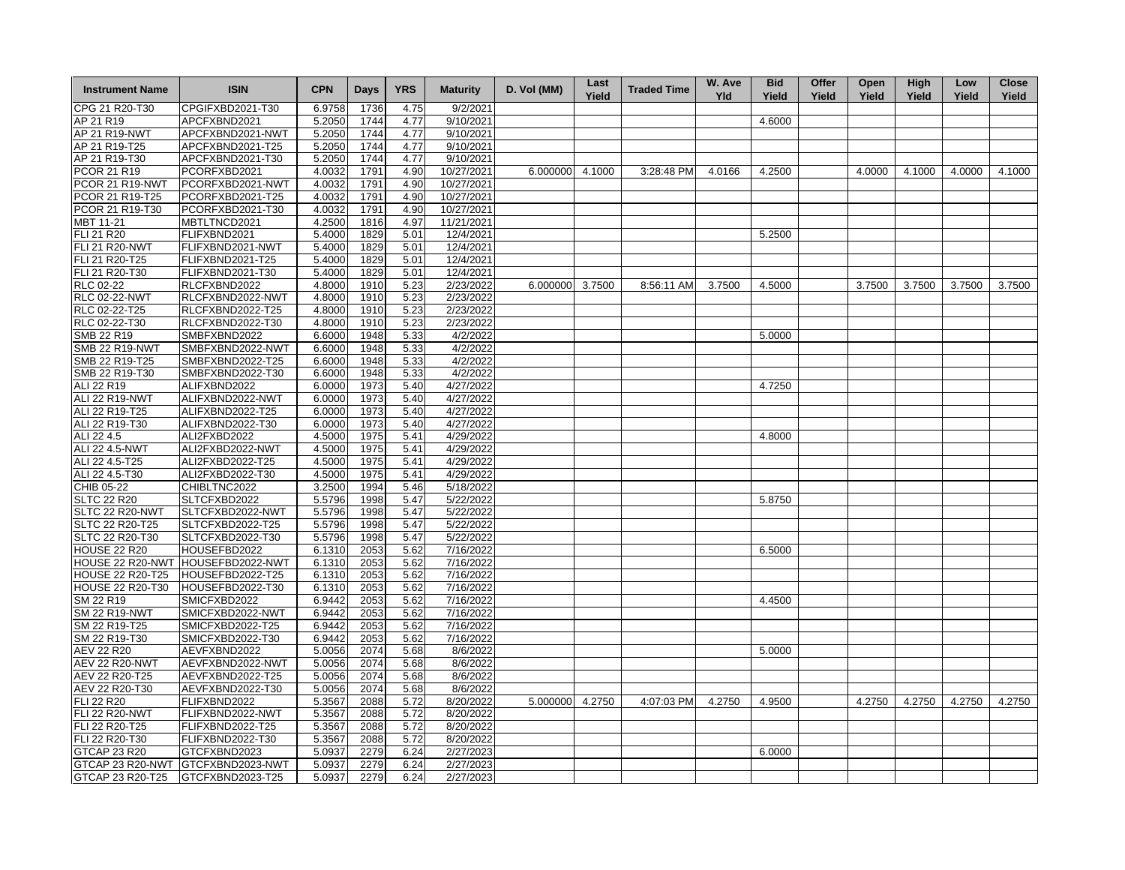| <b>Instrument Name</b>                  | <b>ISIN</b>                       | <b>CPN</b> | <b>Days</b> | <b>YRS</b> | <b>Maturity</b>        | D. Vol (MM)     | Last<br>Yield | <b>Traded Time</b> | W. Ave<br><b>Yld</b> | <b>Bid</b><br>Yield | Offer<br>Yield | Open<br>Yield | <b>High</b><br>Yield | Low<br>Yield | <b>Close</b><br>Yield |
|-----------------------------------------|-----------------------------------|------------|-------------|------------|------------------------|-----------------|---------------|--------------------|----------------------|---------------------|----------------|---------------|----------------------|--------------|-----------------------|
| CPG 21 R20-T30                          | CPGIFXBD2021-T30                  | 6.9758     | 1736        | 4.75       | 9/2/2021               |                 |               |                    |                      |                     |                |               |                      |              |                       |
| AP 21 R19                               | APCFXBND2021                      | 5.2050     | 1744        | 4.77       | 9/10/2021              |                 |               |                    |                      | 4.6000              |                |               |                      |              |                       |
| AP 21 R19-NWT                           | APCFXBND2021-NWT                  | 5.2050     | 1744        | 4.77       | 9/10/2021              |                 |               |                    |                      |                     |                |               |                      |              |                       |
| AP 21 R19-T25                           | APCFXBND2021-T25                  | 5.2050     | 1744        | 4.77       | 9/10/2021              |                 |               |                    |                      |                     |                |               |                      |              |                       |
| AP 21 R19-T30                           | APCFXBND2021-T30                  | 5.2050     | 1744        | 4.77       | 9/10/2021              |                 |               |                    |                      |                     |                |               |                      |              |                       |
| <b>PCOR 21 R19</b>                      | PCORFXBD2021                      | 4.0032     | 1791        | 4.90       | 10/27/2021             | 6.000000 4.1000 |               | 3:28:48 PM         | 4.0166               | 4.2500              |                | 4.0000        | 4.1000               | 4.0000       | 4.1000                |
| PCOR 21 R19-NWT                         | PCORFXBD2021-NWT                  | 4.0032     | 1791        | 4.90       | 10/27/2021             |                 |               |                    |                      |                     |                |               |                      |              |                       |
| PCOR 21 R19-T25                         | PCORFXBD2021-T25                  | 4.0032     | 1791        | 4.90       | 10/27/2021             |                 |               |                    |                      |                     |                |               |                      |              |                       |
| PCOR 21 R19-T30                         | PCORFXBD2021-T30                  | 4.0032     | 1791        | 4.90       | 10/27/2021             |                 |               |                    |                      |                     |                |               |                      |              |                       |
| MBT 11-21                               | MBTLTNCD2021                      | 4.2500     | 1816        | 4.97       | 11/21/2021             |                 |               |                    |                      |                     |                |               |                      |              |                       |
| FLI 21 R20                              | FLIFXBND2021                      | 5.4000     | 1829        | 5.01       | 12/4/2021              |                 |               |                    |                      | 5.2500              |                |               |                      |              |                       |
| <b>FLI 21 R20-NWT</b>                   | FLIFXBND2021-NWT                  | 5.4000     | 1829        | 5.01       | 12/4/2021              |                 |               |                    |                      |                     |                |               |                      |              |                       |
| FLI 21 R20-T25                          | FLIFXBND2021-T25                  | 5.4000     | 1829        | 5.01       | 12/4/2021              |                 |               |                    |                      |                     |                |               |                      |              |                       |
| FLI 21 R20-T30                          | FLIFXBND2021-T30                  | 5.4000     | 1829        | 5.01       | 12/4/2021              |                 |               |                    |                      |                     |                |               |                      |              |                       |
| <b>RLC 02-22</b>                        | RLCFXBND2022                      | 4.8000     | 1910        | 5.23       | 2/23/2022              | 6.000000 3.7500 |               | 8:56:11 AM         | 3.7500               | 4.5000              |                | 3.7500        | 3.7500               | 3.7500       | 3.7500                |
| <b>RLC 02-22-NWT</b>                    | RLCFXBND2022-NWT                  | 4.8000     | 1910        | 5.23       | 2/23/2022              |                 |               |                    |                      |                     |                |               |                      |              |                       |
| RLC 02-22-T25                           | RLCFXBND2022-T25                  | 4.8000     | 1910        | 5.23       | 2/23/2022              |                 |               |                    |                      |                     |                |               |                      |              |                       |
| RLC 02-22-T30                           | RLCFXBND2022-T30                  | 4.8000     | 1910        | 5.23       | 2/23/2022              |                 |               |                    |                      |                     |                |               |                      |              |                       |
| SMB 22 R19                              | SMBFXBND2022                      | 6.6000     | 1948        | 5.33       | 4/2/2022               |                 |               |                    |                      | 5.0000              |                |               |                      |              |                       |
| <b>SMB 22 R19-NWT</b>                   | SMBFXBND2022-NWT                  | 6.6000     | 1948        | 5.33       | 4/2/2022               |                 |               |                    |                      |                     |                |               |                      |              |                       |
| SMB 22 R19-T25                          | SMBFXBND2022-T25                  | 6.6000     | 1948        | 5.33       | 4/2/2022               |                 |               |                    |                      |                     |                |               |                      |              |                       |
| SMB 22 R19-T30                          | SMBFXBND2022-T30                  | 6.6000     | 1948        | 5.33       | 4/2/2022               |                 |               |                    |                      |                     |                |               |                      |              |                       |
| ALI 22 R19                              | ALIFXBND2022                      | 6.0000     | 1973        | 5.40       | 4/27/2022              |                 |               |                    |                      | 4.7250              |                |               |                      |              |                       |
| <b>ALI 22 R19-NWT</b>                   | ALIFXBND2022-NWT                  | 6.0000     | 1973        | 5.40       | 4/27/2022              |                 |               |                    |                      |                     |                |               |                      |              |                       |
| ALI 22 R19-T25                          | ALIFXBND2022-T25                  | 6.0000     | 1973        | 5.40       | 4/27/2022              |                 |               |                    |                      |                     |                |               |                      |              |                       |
| ALI 22 R19-T30                          | ALIFXBND2022-T30                  | 6.0000     | 1973        | 5.40       | 4/27/2022              |                 |               |                    |                      |                     |                |               |                      |              |                       |
| ALI 22 4.5                              | ALI2FXBD2022                      | 4.5000     | 1975        | 5.41       | 4/29/2022              |                 |               |                    |                      | 4.8000              |                |               |                      |              |                       |
| ALI 22 4.5-NWT                          | ALI2FXBD2022-NWT                  | 4.5000     | 1975        | 5.41       | 4/29/2022              |                 |               |                    |                      |                     |                |               |                      |              |                       |
| ALI 22 4.5-T25                          | ALI2FXBD2022-T25                  | 4.5000     | 1975        | 5.41       | 4/29/2022              |                 |               |                    |                      |                     |                |               |                      |              |                       |
| ALI 22 4.5-T30                          | ALI2FXBD2022-T30                  | 4.5000     | 1975        | 5.41       | 4/29/2022              |                 |               |                    |                      |                     |                |               |                      |              |                       |
| CHIB 05-22                              | CHIBLTNC2022                      | 3.2500     | 1994        | 5.46       | 5/18/2022              |                 |               |                    |                      |                     |                |               |                      |              |                       |
| <b>SLTC 22 R20</b>                      | SLTCFXBD2022                      | 5.5796     | 1998        | 5.47       | 5/22/2022              |                 |               |                    |                      | 5.8750              |                |               |                      |              |                       |
| SLTC 22 R20-NWT                         | SLTCFXBD2022-NWT                  | 5.5796     | 1998        | 5.47       | 5/22/2022              |                 |               |                    |                      |                     |                |               |                      |              |                       |
| SLTC 22 R20-T25                         | SLTCFXBD2022-T25                  | 5.5796     | 1998        | 5.47       | 5/22/2022              |                 |               |                    |                      |                     |                |               |                      |              |                       |
|                                         | SLTCFXBD2022-T30                  | 5.5796     | 1998        | 5.47       | 5/22/2022              |                 |               |                    |                      |                     |                |               |                      |              |                       |
| SLTC 22 R20-T30<br><b>HOUSE 22 R20</b>  | HOUSEFBD2022                      | 6.1310     | 2053        | 5.62       | 7/16/2022              |                 |               |                    |                      | 6.5000              |                |               |                      |              |                       |
|                                         | HOUSE 22 R20-NWT HOUSEFBD2022-NWT | 6.1310     | 2053        | 5.62       | 7/16/2022              |                 |               |                    |                      |                     |                |               |                      |              |                       |
| <b>HOUSE 22 R20-T25</b>                 |                                   | 6.1310     |             | 5.62       | 7/16/2022              |                 |               |                    |                      |                     |                |               |                      |              |                       |
| <b>HOUSE 22 R20-T30</b>                 | HOUSEFBD2022-T25                  |            | 2053        |            |                        |                 |               |                    |                      |                     |                |               |                      |              |                       |
|                                         | HOUSEFBD2022-T30                  | 6.1310     | 2053        | 5.62       | 7/16/2022              |                 |               |                    |                      |                     |                |               |                      |              |                       |
| SM 22 R19                               | SMICFXBD2022                      | 6.9442     | 2053        | 5.62       | 7/16/2022              |                 |               |                    |                      | 4.4500              |                |               |                      |              |                       |
| <b>SM 22 R19-NWT</b>                    | SMICFXBD2022-NWT                  | 6.9442     | 2053        | 5.62       | 7/16/2022              |                 |               |                    |                      |                     |                |               |                      |              |                       |
| SM 22 R19-T25<br>SM 22 R19-T30          | SMICFXBD2022-T25                  | 6.9442     | 2053        | 5.62       | 7/16/2022<br>7/16/2022 |                 |               |                    |                      |                     |                |               |                      |              |                       |
|                                         | SMICFXBD2022-T30                  | 6.9442     | 2053        | 5.62       |                        |                 |               |                    |                      |                     |                |               |                      |              |                       |
| <b>AEV 22 R20</b>                       | AEVFXBND2022                      | 5.0056     | 2074        | 5.68       | 8/6/2022               |                 |               |                    |                      | 5.0000              |                |               |                      |              |                       |
| <b>AEV 22 R20-NWT</b><br>AEV 22 R20-T25 | AEVFXBND2022-NWT                  | 5.0056     | 2074        | 5.68       | 8/6/2022               |                 |               |                    |                      |                     |                |               |                      |              |                       |
|                                         | AEVFXBND2022-T25                  | 5.0056     | 2074        | 5.68       | 8/6/2022               |                 |               |                    |                      |                     |                |               |                      |              |                       |
| AEV 22 R20-T30                          | AEVFXBND2022-T30                  | 5.0056     | 2074        | 5.68       | 8/6/2022               |                 |               |                    |                      |                     |                |               |                      |              |                       |
| FLI 22 R20                              | FLIFXBND2022                      | 5.3567     | 2088        | 5.72       | 8/20/2022              | 5.000000 4.2750 |               | 4:07:03 PM         | 4.2750               | 4.9500              |                | 4.2750        | 4.2750               | 4.2750       | 4.2750                |
| <b>FLI 22 R20-NWT</b>                   | FLIFXBND2022-NWT                  | 5.3567     | 2088        | 5.72       | 8/20/2022              |                 |               |                    |                      |                     |                |               |                      |              |                       |
| FLI 22 R20-T25                          | FLIFXBND2022-T25                  | 5.3567     | 2088        | 5.72       | 8/20/2022              |                 |               |                    |                      |                     |                |               |                      |              |                       |
| FLI 22 R20-T30                          | FLIFXBND2022-T30                  | 5.3567     | 2088        | 5.72       | 8/20/2022              |                 |               |                    |                      |                     |                |               |                      |              |                       |
| GTCAP 23 R20                            | GTCFXBND2023                      | 5.0937     | 2279        | 6.24       | 2/27/2023              |                 |               |                    |                      | 6.0000              |                |               |                      |              |                       |
| GTCAP 23 R20-NWT                        | GTCFXBND2023-NWT                  | 5.0937     | 2279        | 6.24       | 2/27/2023              |                 |               |                    |                      |                     |                |               |                      |              |                       |
| GTCAP 23 R20-T25                        | GTCFXBND2023-T25                  | 5.0937     | 2279        | 6.24       | 2/27/2023              |                 |               |                    |                      |                     |                |               |                      |              |                       |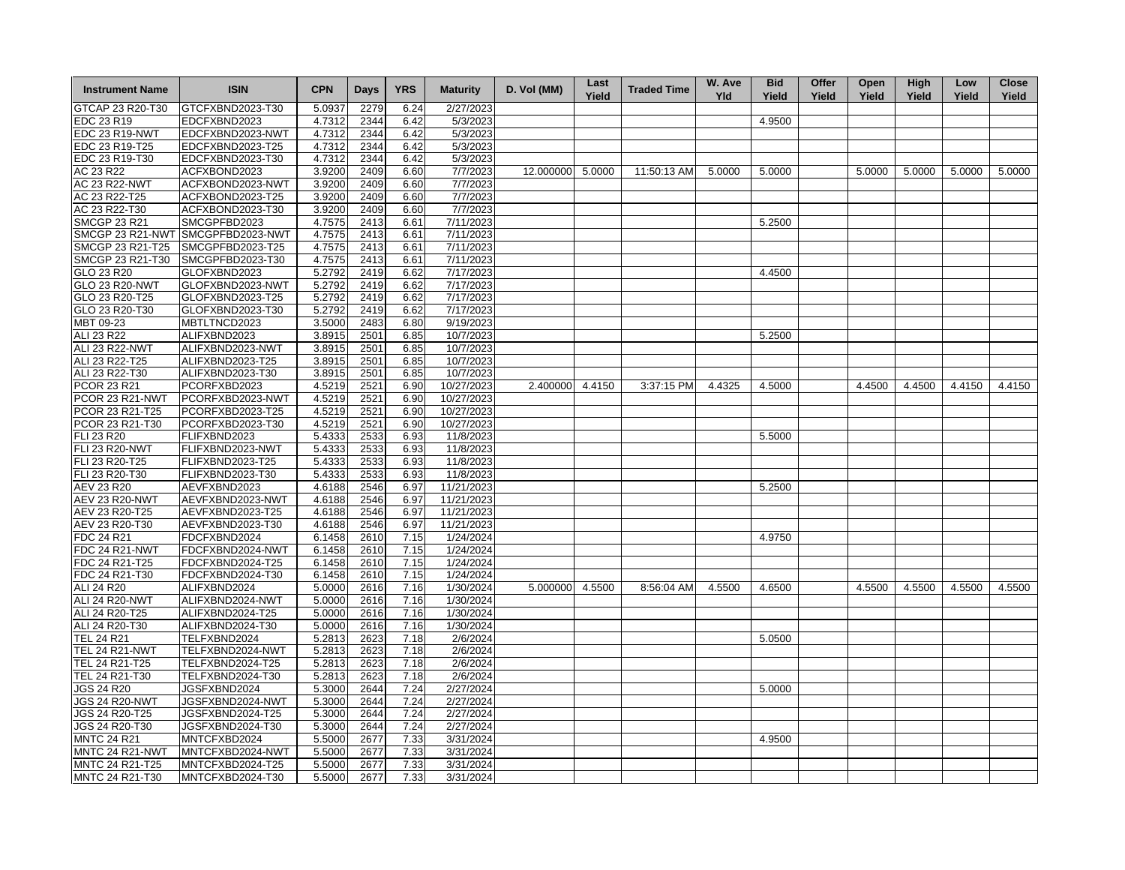| <b>Instrument Name</b> | <b>ISIN</b>                       | <b>CPN</b> | <b>Days</b> | <b>YRS</b> | <b>Maturity</b> | D. Vol (MM)      | Last<br>Yield | <b>Traded Time</b> | W. Ave<br><b>Yld</b> | <b>Bid</b><br>Yield | Offer<br>Yield | Open<br>Yield | <b>High</b><br>Yield | Low<br>Yield | <b>Close</b><br>Yield |
|------------------------|-----------------------------------|------------|-------------|------------|-----------------|------------------|---------------|--------------------|----------------------|---------------------|----------------|---------------|----------------------|--------------|-----------------------|
| GTCAP 23 R20-T30       | GTCFXBND2023-T30                  | 5.0937     | 2279        | 6.24       | 2/27/2023       |                  |               |                    |                      |                     |                |               |                      |              |                       |
| EDC 23 R19             | EDCFXBND2023                      | 4.7312     | 2344        | 6.42       | 5/3/2023        |                  |               |                    |                      | 4.9500              |                |               |                      |              |                       |
| EDC 23 R19-NWT         | EDCFXBND2023-NWT                  | 4.7312     | 2344        | 6.42       | 5/3/2023        |                  |               |                    |                      |                     |                |               |                      |              |                       |
| EDC 23 R19-T25         | EDCFXBND2023-T25                  | 4.7312     | 2344        | 6.42       | 5/3/2023        |                  |               |                    |                      |                     |                |               |                      |              |                       |
| EDC 23 R19-T30         | EDCFXBND2023-T30                  | 4.7312     | 2344        | 6.42       | 5/3/2023        |                  |               |                    |                      |                     |                |               |                      |              |                       |
| AC 23 R22              | ACFXBOND2023                      | 3.9200     | 2409        | 6.60       | 7/7/2023        | 12.000000 5.0000 |               | 11:50:13 AM        | 5.0000               | 5.0000              |                | 5.0000        | 5.0000               | 5.0000       | 5.0000                |
| <b>AC 23 R22-NWT</b>   | ACFXBOND2023-NWT                  | 3.9200     | 2409        | 6.60       | 7/7/2023        |                  |               |                    |                      |                     |                |               |                      |              |                       |
| AC 23 R22-T25          | ACFXBOND2023-T25                  | 3.9200     | 2409        | 6.60       | 7/7/2023        |                  |               |                    |                      |                     |                |               |                      |              |                       |
| AC 23 R22-T30          | ACFXBOND2023-T30                  | 3.9200     | 2409        | 6.60       | 7/7/2023        |                  |               |                    |                      |                     |                |               |                      |              |                       |
| <b>SMCGP 23 R21</b>    | SMCGPFBD2023                      | 4.7575     | 2413        | 6.61       | 7/11/2023       |                  |               |                    |                      | 5.2500              |                |               |                      |              |                       |
|                        | SMCGP 23 R21-NWT SMCGPFBD2023-NWT | 4.7575     | 2413        | 6.61       | 7/11/2023       |                  |               |                    |                      |                     |                |               |                      |              |                       |
| SMCGP 23 R21-T25       | SMCGPFBD2023-T25                  | 4.7575     | 2413        | 6.61       | 7/11/2023       |                  |               |                    |                      |                     |                |               |                      |              |                       |
| SMCGP 23 R21-T30       | SMCGPFBD2023-T30                  | 4.7575     | 2413        | 6.61       | 7/11/2023       |                  |               |                    |                      |                     |                |               |                      |              |                       |
| GLO 23 R20             | GLOFXBND2023                      | 5.2792     | 2419        | 6.62       | 7/17/2023       |                  |               |                    |                      | 4.4500              |                |               |                      |              |                       |
| <b>GLO 23 R20-NWT</b>  | GLOFXBND2023-NWT                  | 5.2792     | 2419        | 6.62       | 7/17/2023       |                  |               |                    |                      |                     |                |               |                      |              |                       |
| GLO 23 R20-T25         | GLOFXBND2023-T25                  | 5.2792     | 2419        | 6.62       | 7/17/2023       |                  |               |                    |                      |                     |                |               |                      |              |                       |
| GLO 23 R20-T30         |                                   | 5.2792     | 2419        | 6.62       | 7/17/2023       |                  |               |                    |                      |                     |                |               |                      |              |                       |
| MBT 09-23              | GLOFXBND2023-T30<br>MBTLTNCD2023  | 3.5000     | 2483        | 6.80       | 9/19/2023       |                  |               |                    |                      |                     |                |               |                      |              |                       |
|                        |                                   |            |             |            |                 |                  |               |                    |                      |                     |                |               |                      |              |                       |
| ALI 23 R22             | ALIFXBND2023                      | 3.8915     | 2501        | 6.85       | 10/7/2023       |                  |               |                    |                      | 5.2500              |                |               |                      |              |                       |
| ALI 23 R22-NWT         | ALIFXBND2023-NWT                  | 3.8915     | 2501        | 6.85       | 10/7/2023       |                  |               |                    |                      |                     |                |               |                      |              |                       |
| ALI 23 R22-T25         | ALIFXBND2023-T25                  | 3.8915     | 2501        | 6.85       | 10/7/2023       |                  |               |                    |                      |                     |                |               |                      |              |                       |
| ALI 23 R22-T30         | ALIFXBND2023-T30                  | 3.8915     | 2501        | 6.85       | 10/7/2023       |                  |               |                    |                      |                     |                |               |                      |              |                       |
| PCOR 23 R21            | PCORFXBD2023                      | 4.5219     | 2521        | 6.90       | 10/27/2023      | 2.400000 4.4150  |               | 3:37:15 PM         | 4.4325               | 4.5000              |                | 4.4500        | 4.4500               | 4.4150       | 4.4150                |
| PCOR 23 R21-NWT        | PCORFXBD2023-NWT                  | 4.5219     | 2521        | 6.90       | 10/27/2023      |                  |               |                    |                      |                     |                |               |                      |              |                       |
| PCOR 23 R21-T25        | PCORFXBD2023-T25                  | 4.5219     | 2521        | 6.90       | 10/27/2023      |                  |               |                    |                      |                     |                |               |                      |              |                       |
| PCOR 23 R21-T30        | PCORFXBD2023-T30                  | 4.5219     | 2521        | 6.90       | 10/27/2023      |                  |               |                    |                      |                     |                |               |                      |              |                       |
| <b>FLI 23 R20</b>      | FLIFXBND2023                      | 5.4333     | 2533        | 6.93       | 11/8/2023       |                  |               |                    |                      | 5.5000              |                |               |                      |              |                       |
| <b>FLI 23 R20-NWT</b>  | FLIFXBND2023-NWT                  | 5.4333     | 2533        | 6.93       | 11/8/2023       |                  |               |                    |                      |                     |                |               |                      |              |                       |
| FLI 23 R20-T25         | FLIFXBND2023-T25                  | 5.4333     | 2533        | 6.93       | 11/8/2023       |                  |               |                    |                      |                     |                |               |                      |              |                       |
| FLI 23 R20-T30         | FLIFXBND2023-T30                  | 5.4333     | 2533        | 6.93       | 11/8/2023       |                  |               |                    |                      |                     |                |               |                      |              |                       |
| AEV 23 R20             | AEVFXBND2023                      | 4.6188     | 2546        | 6.97       | 11/21/2023      |                  |               |                    |                      | 5.2500              |                |               |                      |              |                       |
| <b>AEV 23 R20-NWT</b>  | AEVFXBND2023-NWT                  | 4.6188     | 2546        | 6.97       | 11/21/2023      |                  |               |                    |                      |                     |                |               |                      |              |                       |
| AEV 23 R20-T25         | AEVFXBND2023-T25                  | 4.6188     | 2546        | 6.97       | 11/21/2023      |                  |               |                    |                      |                     |                |               |                      |              |                       |
| AEV 23 R20-T30         | AEVFXBND2023-T30                  | 4.6188     | 2546        | 6.97       | 11/21/2023      |                  |               |                    |                      |                     |                |               |                      |              |                       |
| FDC 24 R21             | FDCFXBND2024                      | 6.1458     | 2610        | 7.15       | 1/24/2024       |                  |               |                    |                      | 4.9750              |                |               |                      |              |                       |
| <b>FDC 24 R21-NWT</b>  | FDCFXBND2024-NWT                  | 6.1458     | 2610        | 7.15       | 1/24/2024       |                  |               |                    |                      |                     |                |               |                      |              |                       |
| FDC 24 R21-T25         | FDCFXBND2024-T25                  | 6.1458     | 2610        | 7.15       | 1/24/2024       |                  |               |                    |                      |                     |                |               |                      |              |                       |
| FDC 24 R21-T30         | FDCFXBND2024-T30                  | 6.1458     | 2610        | 7.15       | 1/24/2024       |                  |               |                    |                      |                     |                |               |                      |              |                       |
| ALI 24 R20             | ALIFXBND2024                      | 5.0000     | 2616        | 7.16       | 1/30/2024       | 5.000000         | 4.5500        | 8:56:04 AM         | 4.5500               | 4.6500              |                | 4.5500        | 4.5500               | 4.5500       | 4.5500                |
| ALI 24 R20-NWT         | ALIFXBND2024-NWT                  | 5.0000     | 2616        | 7.16       | 1/30/2024       |                  |               |                    |                      |                     |                |               |                      |              |                       |
| ALI 24 R20-T25         | ALIFXBND2024-T25                  | 5.0000     | 2616        | 7.16       | 1/30/2024       |                  |               |                    |                      |                     |                |               |                      |              |                       |
| ALI 24 R20-T30         | ALIFXBND2024-T30                  | 5.0000     | 2616        | 7.16       | 1/30/2024       |                  |               |                    |                      |                     |                |               |                      |              |                       |
| <b>TEL 24 R21</b>      | TELFXBND2024                      | 5.2813     | 2623        | 7.18       | 2/6/2024        |                  |               |                    |                      | 5.0500              |                |               |                      |              |                       |
| <b>TEL 24 R21-NWT</b>  | TELFXBND2024-NWT                  | 5.2813     | 2623        | 7.18       | 2/6/2024        |                  |               |                    |                      |                     |                |               |                      |              |                       |
| TEL 24 R21-T25         | TELFXBND2024-T25                  | 5.2813     | 2623        | 7.18       | 2/6/2024        |                  |               |                    |                      |                     |                |               |                      |              |                       |
| TEL 24 R21-T30         | TELFXBND2024-T30                  | 5.2813     | 2623        | 7.18       | 2/6/2024        |                  |               |                    |                      |                     |                |               |                      |              |                       |
| <b>JGS 24 R20</b>      | JGSFXBND2024                      | 5.3000     | 2644        | 7.24       | 2/27/2024       |                  |               |                    |                      |                     |                |               |                      |              |                       |
|                        |                                   |            |             |            |                 |                  |               |                    |                      | 5.0000              |                |               |                      |              |                       |
| <b>JGS 24 R20-NWT</b>  | JGSFXBND2024-NWT                  | 5.3000     | 2644        | 7.24       | 2/27/2024       |                  |               |                    |                      |                     |                |               |                      |              |                       |
| JGS 24 R20-T25         | JGSFXBND2024-T25                  | 5.3000     | 2644        | 7.24       | 2/27/2024       |                  |               |                    |                      |                     |                |               |                      |              |                       |
| JGS 24 R20-T30         | JGSFXBND2024-T30                  | 5.3000     | 2644        | 7.24       | 2/27/2024       |                  |               |                    |                      |                     |                |               |                      |              |                       |
| <b>MNTC 24 R21</b>     | MNTCFXBD2024                      | 5.5000     | 2677        | 7.33       | 3/31/2024       |                  |               |                    |                      | 4.9500              |                |               |                      |              |                       |
| MNTC 24 R21-NWT        | MNTCFXBD2024-NWT                  | 5.5000     | 2677        | 7.33       | 3/31/2024       |                  |               |                    |                      |                     |                |               |                      |              |                       |
| MNTC 24 R21-T25        | MNTCFXBD2024-T25                  | 5.5000     | 2677        | 7.33       | 3/31/2024       |                  |               |                    |                      |                     |                |               |                      |              |                       |
| MNTC 24 R21-T30        | MNTCFXBD2024-T30                  | 5.5000     | 2677        | 7.33       | 3/31/2024       |                  |               |                    |                      |                     |                |               |                      |              |                       |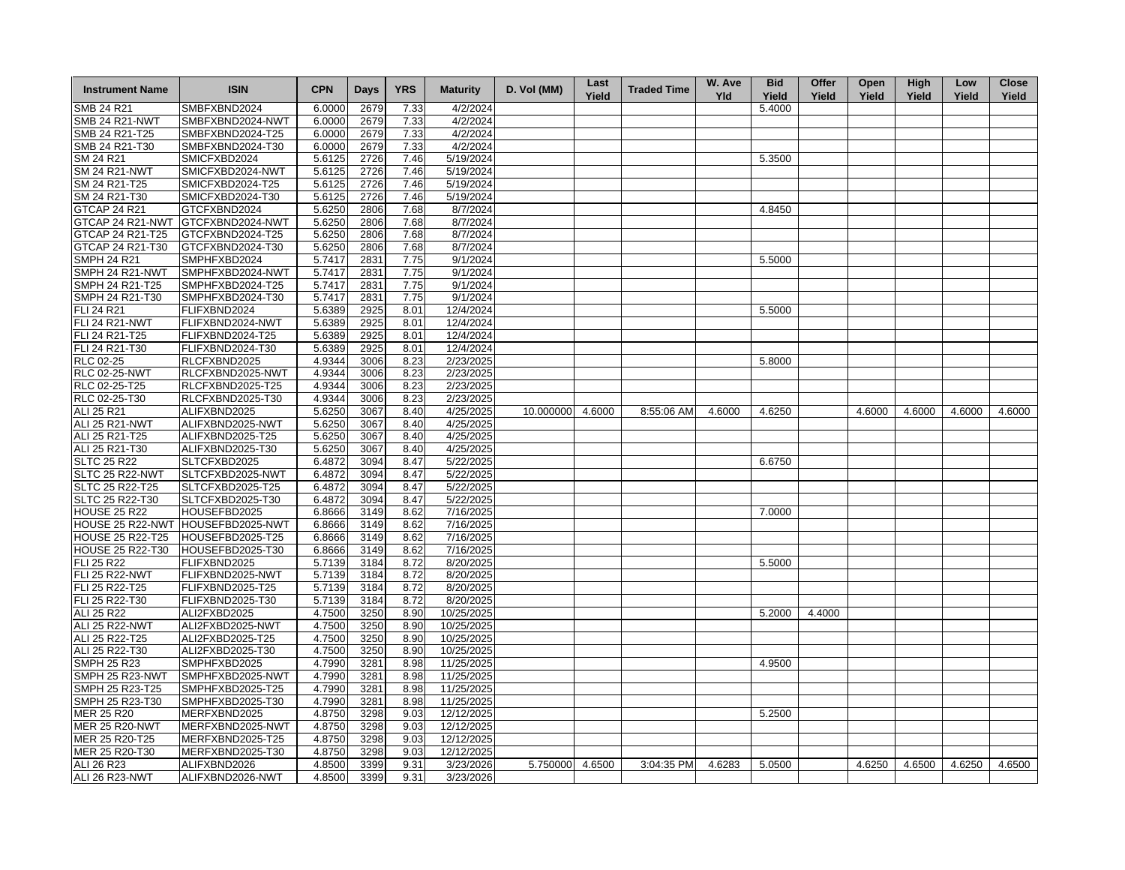| <b>Instrument Name</b>  | <b>ISIN</b>                       | <b>CPN</b> | <b>Days</b> | <b>YRS</b> | <b>Maturity</b> | D. Vol (MM)     | Last<br>Yield | <b>Traded Time</b> | W. Ave<br><b>Yld</b> | <b>Bid</b><br>Yield | Offer<br>Yield | Open<br>Yield | High<br>Yield | Low<br>Yield | <b>Close</b><br>Yield |
|-------------------------|-----------------------------------|------------|-------------|------------|-----------------|-----------------|---------------|--------------------|----------------------|---------------------|----------------|---------------|---------------|--------------|-----------------------|
| <b>SMB 24 R21</b>       | SMBFXBND2024                      | 6.0000     | 2679        | 7.33       | 4/2/2024        |                 |               |                    |                      | 5.4000              |                |               |               |              |                       |
| <b>SMB 24 R21-NWT</b>   | SMBFXBND2024-NWT                  | 6.0000     | 2679        | 7.33       | 4/2/2024        |                 |               |                    |                      |                     |                |               |               |              |                       |
| SMB 24 R21-T25          | SMBFXBND2024-T25                  | 6.0000     | 2679        | 7.33       | 4/2/2024        |                 |               |                    |                      |                     |                |               |               |              |                       |
| SMB 24 R21-T30          | SMBFXBND2024-T30                  | 6.0000     | 2679        | 7.33       | 4/2/2024        |                 |               |                    |                      |                     |                |               |               |              |                       |
| SM 24 R21               | SMICFXBD2024                      | 5.6125     | 2726        | 7.46       | 5/19/2024       |                 |               |                    |                      | 5.3500              |                |               |               |              |                       |
| <b>SM 24 R21-NWT</b>    | SMICFXBD2024-NWT                  | 5.6125     | 2726        | 7.46       | 5/19/2024       |                 |               |                    |                      |                     |                |               |               |              |                       |
| SM 24 R21-T25           | SMICFXBD2024-T25                  | 5.6125     | 2726        | 7.46       | 5/19/2024       |                 |               |                    |                      |                     |                |               |               |              |                       |
| SM 24 R21-T30           | SMICFXBD2024-T30                  | 5.6125     | 2726        | 7.46       | 5/19/2024       |                 |               |                    |                      |                     |                |               |               |              |                       |
| <b>GTCAP 24 R21</b>     | GTCFXBND2024                      | 5.6250     | 2806        | 7.68       | 8/7/2024        |                 |               |                    |                      | 4.8450              |                |               |               |              |                       |
| GTCAP 24 R21-NWT        | GTCFXBND2024-NWT                  | 5.6250     | 2806        | 7.68       | 8/7/2024        |                 |               |                    |                      |                     |                |               |               |              |                       |
| GTCAP 24 R21-T25        | GTCFXBND2024-T25                  | 5.6250     | 2806        | 7.68       | 8/7/2024        |                 |               |                    |                      |                     |                |               |               |              |                       |
| GTCAP 24 R21-T30        | GTCFXBND2024-T30                  | 5.6250     | 2806        | 7.68       | 8/7/2024        |                 |               |                    |                      |                     |                |               |               |              |                       |
| <b>SMPH 24 R21</b>      | SMPHFXBD2024                      | 5.7417     | 2831        | 7.75       | 9/1/2024        |                 |               |                    |                      | 5.5000              |                |               |               |              |                       |
| SMPH 24 R21-NWT         | SMPHFXBD2024-NWT                  | 5.7417     | 2831        | 7.75       | 9/1/2024        |                 |               |                    |                      |                     |                |               |               |              |                       |
| SMPH 24 R21-T25         | SMPHFXBD2024-T25                  | 5.7417     | 2831        | 7.75       | 9/1/2024        |                 |               |                    |                      |                     |                |               |               |              |                       |
| SMPH 24 R21-T30         | SMPHFXBD2024-T30                  | 5.7417     | 2831        | 7.75       | 9/1/2024        |                 |               |                    |                      |                     |                |               |               |              |                       |
|                         |                                   |            |             |            |                 |                 |               |                    |                      |                     |                |               |               |              |                       |
| FLI 24 R21              | FLIFXBND2024                      | 5.6389     | 2925        | 8.01       | 12/4/2024       |                 |               |                    |                      | 5.5000              |                |               |               |              |                       |
| <b>FLI 24 R21-NWT</b>   | FLIFXBND2024-NWT                  | 5.6389     | 2925        | 8.01       | 12/4/2024       |                 |               |                    |                      |                     |                |               |               |              |                       |
| FLI 24 R21-T25          | FLIFXBND2024-T25                  | 5.6389     | 2925        | 8.01       | 12/4/2024       |                 |               |                    |                      |                     |                |               |               |              |                       |
| FLI 24 R21-T30          | FLIFXBND2024-T30                  | 5.6389     | 2925        | 8.01       | 12/4/2024       |                 |               |                    |                      |                     |                |               |               |              |                       |
| RLC 02-25               | RLCFXBND2025                      | 4.9344     | 3006        | 8.23       | 2/23/2025       |                 |               |                    |                      | 5.8000              |                |               |               |              |                       |
| <b>RLC 02-25-NWT</b>    | RLCFXBND2025-NWT                  | 4.9344     | 3006        | 8.23       | 2/23/2025       |                 |               |                    |                      |                     |                |               |               |              |                       |
| RLC 02-25-T25           | RLCFXBND2025-T25                  | 4.9344     | 3006        | 8.23       | 2/23/2025       |                 |               |                    |                      |                     |                |               |               |              |                       |
| RLC 02-25-T30           | RLCFXBND2025-T30                  | 4.9344     | 3006        | 8.23       | 2/23/2025       |                 |               |                    |                      |                     |                |               |               |              |                       |
| ALI 25 R21              | ALIFXBND2025                      | 5.6250     | 3067        | 8.40       | 4/25/2025       | 10.000000       | 4.6000        | 8:55:06 AM         | 4.6000               | 4.6250              |                | 4.6000        | 4.6000        | 4.6000       | 4.6000                |
| <b>ALI 25 R21-NWT</b>   | ALIFXBND2025-NWT                  | 5.6250     | 3067        | 8.40       | 4/25/2025       |                 |               |                    |                      |                     |                |               |               |              |                       |
| ALI 25 R21-T25          | ALIFXBND2025-T25                  | 5.6250     | 3067        | 8.40       | 4/25/2025       |                 |               |                    |                      |                     |                |               |               |              |                       |
| ALI 25 R21-T30          | ALIFXBND2025-T30                  | 5.6250     | 3067        | 8.40       | 4/25/2025       |                 |               |                    |                      |                     |                |               |               |              |                       |
| <b>SLTC 25 R22</b>      | SLTCFXBD2025                      | 6.4872     | 3094        | 8.47       | 5/22/2025       |                 |               |                    |                      | 6.6750              |                |               |               |              |                       |
| SLTC 25 R22-NWT         | SLTCFXBD2025-NWT                  | 6.4872     | 3094        | 8.47       | 5/22/2025       |                 |               |                    |                      |                     |                |               |               |              |                       |
| SLTC 25 R22-T25         | SLTCFXBD2025-T25                  | 6.4872     | 3094        | 8.47       | 5/22/2025       |                 |               |                    |                      |                     |                |               |               |              |                       |
| SLTC 25 R22-T30         | SLTCFXBD2025-T30                  | 6.4872     | 3094        | 8.47       | 5/22/2025       |                 |               |                    |                      |                     |                |               |               |              |                       |
| <b>HOUSE 25 R22</b>     | HOUSEFBD2025                      | 6.8666     | 3149        | 8.62       | 7/16/2025       |                 |               |                    |                      | 7.0000              |                |               |               |              |                       |
|                         | HOUSE 25 R22-NWT HOUSEFBD2025-NWT | 6.8666     | 3149        | 8.62       | 7/16/2025       |                 |               |                    |                      |                     |                |               |               |              |                       |
| <b>HOUSE 25 R22-T25</b> | HOUSEFBD2025-T25                  | 6.8666     | 3149        | 8.62       | 7/16/2025       |                 |               |                    |                      |                     |                |               |               |              |                       |
| <b>HOUSE 25 R22-T30</b> | HOUSEFBD2025-T30                  | 6.8666     | 3149        | 8.62       | 7/16/2025       |                 |               |                    |                      |                     |                |               |               |              |                       |
| FLI 25 R22              | FLIFXBND2025                      | 5.7139     | 3184        | 8.72       | 8/20/2025       |                 |               |                    |                      | 5.5000              |                |               |               |              |                       |
| <b>FLI 25 R22-NWT</b>   | FLIFXBND2025-NWT                  | 5.7139     | 3184        | 8.72       | 8/20/2025       |                 |               |                    |                      |                     |                |               |               |              |                       |
| FLI 25 R22-T25          | FLIFXBND2025-T25                  | 5.7139     | 3184        | 8.72       | 8/20/2025       |                 |               |                    |                      |                     |                |               |               |              |                       |
| FLI 25 R22-T30          | FLIFXBND2025-T30                  | 5.7139     | 3184        | 8.72       | 8/20/2025       |                 |               |                    |                      |                     |                |               |               |              |                       |
| ALI 25 R22              | ALI2FXBD2025                      | 4.7500     | 3250        | 8.90       | 10/25/2025      |                 |               |                    |                      | 5.2000              | 4.4000         |               |               |              |                       |
| <b>ALI 25 R22-NWT</b>   | ALI2FXBD2025-NWT                  | 4.7500     | 3250        | 8.90       | 10/25/2025      |                 |               |                    |                      |                     |                |               |               |              |                       |
| ALI 25 R22-T25          | ALI2FXBD2025-T25                  | 4.7500     | 3250        | 8.90       | 10/25/2025      |                 |               |                    |                      |                     |                |               |               |              |                       |
| ALI 25 R22-T30          | ALI2FXBD2025-T30                  | 4.7500     | 3250        | 8.90       | 10/25/2025      |                 |               |                    |                      |                     |                |               |               |              |                       |
| <b>SMPH 25 R23</b>      | SMPHFXBD2025                      | 4.7990     | 3281        | 8.98       | 11/25/2025      |                 |               |                    |                      | 4.9500              |                |               |               |              |                       |
| SMPH 25 R23-NWT         | SMPHFXBD2025-NWT                  | 4.7990     | 3281        | 8.98       | 11/25/2025      |                 |               |                    |                      |                     |                |               |               |              |                       |
|                         |                                   |            |             |            |                 |                 |               |                    |                      |                     |                |               |               |              |                       |
| SMPH 25 R23-T25         | SMPHFXBD2025-T25                  | 4.7990     | 3281        | 8.98       | 11/25/2025      |                 |               |                    |                      |                     |                |               |               |              |                       |
| SMPH 25 R23-T30         | SMPHFXBD2025-T30                  | 4.7990     | 3281        | 8.98       | 11/25/2025      |                 |               |                    |                      |                     |                |               |               |              |                       |
| <b>MER 25 R20</b>       | MERFXBND2025                      | 4.8750     | 3298        | 9.03       | 12/12/2025      |                 |               |                    |                      | 5.2500              |                |               |               |              |                       |
| <b>MER 25 R20-NWT</b>   | MERFXBND2025-NWT                  | 4.8750     | 3298        | 9.03       | 12/12/2025      |                 |               |                    |                      |                     |                |               |               |              |                       |
| MER 25 R20-T25          | MERFXBND2025-T25                  | 4.8750     | 3298        | 9.03       | 12/12/2025      |                 |               |                    |                      |                     |                |               |               |              |                       |
| MER 25 R20-T30          | MERFXBND2025-T30                  | 4.8750     | 3298        | 9.03       | 12/12/2025      |                 |               |                    |                      |                     |                |               |               |              |                       |
| ALI 26 R23              | ALIFXBND2026                      | 4.8500     | 3399        | 9.31       | 3/23/2026       | 5.750000 4.6500 |               | 3:04:35 PM         | 4.6283               | 5.0500              |                | 4.6250        | 4.6500        | 4.6250       | 4.6500                |
| ALI 26 R23-NWT          | ALIFXBND2026-NWT                  | 4.8500     | 3399        | 9.31       | 3/23/2026       |                 |               |                    |                      |                     |                |               |               |              |                       |